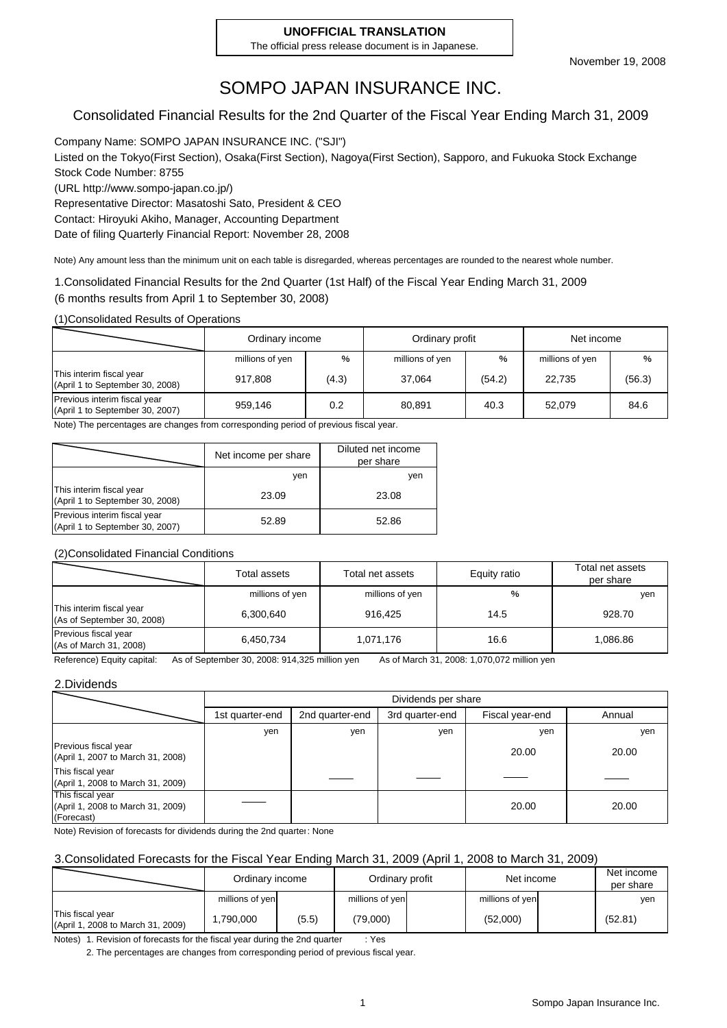#### **UNOFFICIAL TRANSLATION**

The official press release document is in Japanese.

## SOMPO JAPAN INSURANCE INC.

#### Consolidated Financial Results for the 2nd Quarter of the Fiscal Year Ending March 31, 2009

Company Name: SOMPO JAPAN INSURANCE INC. ("SJI") Listed on the Tokyo(First Section), Osaka(First Section), Nagoya(First Section), Sapporo, and Fukuoka Stock Exchange Stock Code Number: 8755 (URL http://www.sompo-japan.co.jp/) Representative Director: Masatoshi Sato, President & CEO Contact: Hiroyuki Akiho, Manager, Accounting Department

Date of filing Quarterly Financial Report: November 28, 2008

Note) Any amount less than the minimum unit on each table is disregarded, whereas percentages are rounded to the nearest whole number.

1.Consolidated Financial Results for the 2nd Quarter (1st Half) of the Fiscal Year Ending March 31, 2009 (6 months results from April 1 to September 30, 2008)

(1)Consolidated Results of Operations

|                                                                 | Ordinary income |       | Ordinary profit |        | Net income      |        |
|-----------------------------------------------------------------|-----------------|-------|-----------------|--------|-----------------|--------|
|                                                                 | millions of yen | %     | millions of yen | %      | millions of yen | %      |
| This interim fiscal year<br>(April 1 to September 30, 2008)     | 917.808         | (4.3) | 37.064          | (54.2) | 22.735          | (56.3) |
| Previous interim fiscal year<br>(April 1 to September 30, 2007) | 959,146         | 0.2   | 80,891          | 40.3   | 52.079          | 84.6   |

Note) The percentages are changes from corresponding period of previous fiscal year.

|                                                                 | Net income per share | Diluted net income<br>per share |
|-----------------------------------------------------------------|----------------------|---------------------------------|
|                                                                 | ven                  | ven                             |
| This interim fiscal year<br>(April 1 to September 30, 2008)     | 23.09                | 23.08                           |
| Previous interim fiscal year<br>(April 1 to September 30, 2007) | 52.89                | 52.86                           |

#### (2)Consolidated Financial Conditions

|                                                        | Total assets    | Total net assets | Equity ratio | Total net assets<br>per share |
|--------------------------------------------------------|-----------------|------------------|--------------|-------------------------------|
|                                                        | millions of yen | millions of yen  | %            | yen                           |
| This interim fiscal year<br>(As of September 30, 2008) | 6,300,640       | 916.425          | 14.5         | 928.70                        |
| Previous fiscal year<br>(As of March 31, 2008)         | 6,450,734       | 1,071,176        | 16.6         | 1,086.86                      |

Reference) Equity capital: As of September 30, 2008: 914,325 million yen As of March 31, 2008: 1,070,072 million yen

#### 2.Dividends

|                                                                     | Dividends per share |                 |                 |                 |        |  |
|---------------------------------------------------------------------|---------------------|-----------------|-----------------|-----------------|--------|--|
|                                                                     | 1st quarter-end     | 2nd quarter-end | 3rd quarter-end | Fiscal year-end | Annual |  |
|                                                                     | yen                 | yen             | yen             | yen             | yen    |  |
| Previous fiscal year<br>(April 1, 2007 to March 31, 2008)           |                     |                 |                 | 20.00           | 20.00  |  |
| This fiscal year<br>(April 1, 2008 to March 31, 2009)               |                     |                 |                 |                 |        |  |
| This fiscal year<br>(April 1, 2008 to March 31, 2009)<br>(Forecast) |                     |                 |                 | 20.00           | 20.00  |  |

Note) Revision of forecasts for dividends during the 2nd quarter: None

#### 3.Consolidated Forecasts for the Fiscal Year Ending March 31, 2009 (April 1, 2008 to March 31, 2009)

|                                                       | Ordinary income |       | Ordinary profit | Net income      | Net income<br>per share |
|-------------------------------------------------------|-----------------|-------|-----------------|-----------------|-------------------------|
|                                                       | millions of yen |       | millions of yen | millions of yen | yen                     |
| This fiscal year<br>(April 1, 2008 to March 31, 2009) | .790,000.       | (5.5) | (79,000)        | (52,000)        | (52.81)                 |

Notes) 1. Revision of forecasts for the fiscal year during the 2nd quarter : Yes

2. The percentages are changes from corresponding period of previous fiscal year.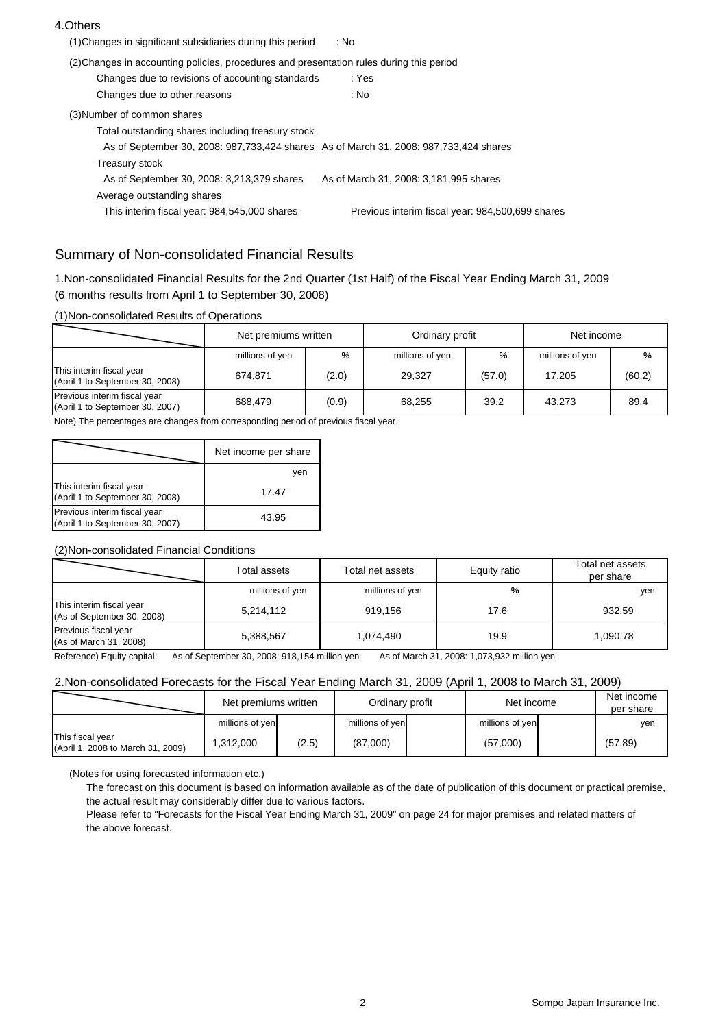#### 4.Others

| (1) Changes in significant subsidiaries during this period                                | : No                                             |
|-------------------------------------------------------------------------------------------|--------------------------------------------------|
| (2) Changes in accounting policies, procedures and presentation rules during this period  |                                                  |
| Changes due to revisions of accounting standards                                          | : Yes                                            |
| Changes due to other reasons                                                              | : No                                             |
| (3) Number of common shares                                                               |                                                  |
| Total outstanding shares including treasury stock                                         |                                                  |
| As of September 30, 2008: 987, 733, 424 shares As of March 31, 2008: 987, 733, 424 shares |                                                  |
| Treasury stock                                                                            |                                                  |
| As of September 30, 2008: 3,213,379 shares                                                | As of March 31, 2008: 3,181,995 shares           |
| Average outstanding shares                                                                |                                                  |
| This interim fiscal year: 984,545,000 shares                                              | Previous interim fiscal year: 984,500,699 shares |
|                                                                                           |                                                  |

#### Summary of Non-consolidated Financial Results

1.Non-consolidated Financial Results for the 2nd Quarter (1st Half) of the Fiscal Year Ending March 31, 2009 (6 months results from April 1 to September 30, 2008)

#### (1)Non-consolidated Results of Operations

|                                                                 | Net premiums written |       | Ordinary profit |        | Net income      |        |
|-----------------------------------------------------------------|----------------------|-------|-----------------|--------|-----------------|--------|
|                                                                 | millions of yen      | %     | millions of yen | $\%$   | millions of yen | %      |
| This interim fiscal year<br>(April 1 to September 30, 2008)     | 674,871              | (2.0) | 29,327          | (57.0) | 17,205          | (60.2) |
| Previous interim fiscal year<br>(April 1 to September 30, 2007) | 688.479              | (0.9) | 68,255          | 39.2   | 43.273          | 89.4   |

Note) The percentages are changes from corresponding period of previous fiscal year.

|                                                                 | Net income per share |
|-----------------------------------------------------------------|----------------------|
|                                                                 | ven                  |
| This interim fiscal year<br>(April 1 to September 30, 2008)     | 17.47                |
| Previous interim fiscal year<br>(April 1 to September 30, 2007) | 43.95                |

#### (2)Non-consolidated Financial Conditions

|                                                        | Total assets    | Total net assets | Equity ratio | Total net assets<br>per share |
|--------------------------------------------------------|-----------------|------------------|--------------|-------------------------------|
|                                                        | millions of yen | millions of yen  | %            | yen                           |
| This interim fiscal year<br>(As of September 30, 2008) | 5,214,112       | 919.156          | 17.6         | 932.59                        |
| Previous fiscal year<br>(As of March 31, 2008)         | 5,388,567       | 1.074.490        | 19.9         | 1.090.78                      |

Reference) Equity capital: As of September 30, 2008: 918,154 million yen As of March 31, 2008: 1,073,932 million yen

#### 2.Non-consolidated Forecasts for the Fiscal Year Ending March 31, 2009 (April 1, 2008 to March 31, 2009)

|                                                       | Net premiums written |       | Ordinary profit | Net income      | Net income<br>per share |
|-------------------------------------------------------|----------------------|-------|-----------------|-----------------|-------------------------|
|                                                       | millions of yen      |       | millions of yen | millions of yen | yen                     |
| This fiscal year<br>(April 1, 2008 to March 31, 2009) | 1.312.000            | (2.5) | (87,000)        | (57,000)        | (57.89)                 |

(Notes for using forecasted information etc.)

The forecast on this document is based on information available as of the date of publication of this document or practical premise, the actual result may considerably differ due to various factors.

Please refer to "Forecasts for the Fiscal Year Ending March 31, 2009" on page 24 for major premises and related matters of the above forecast.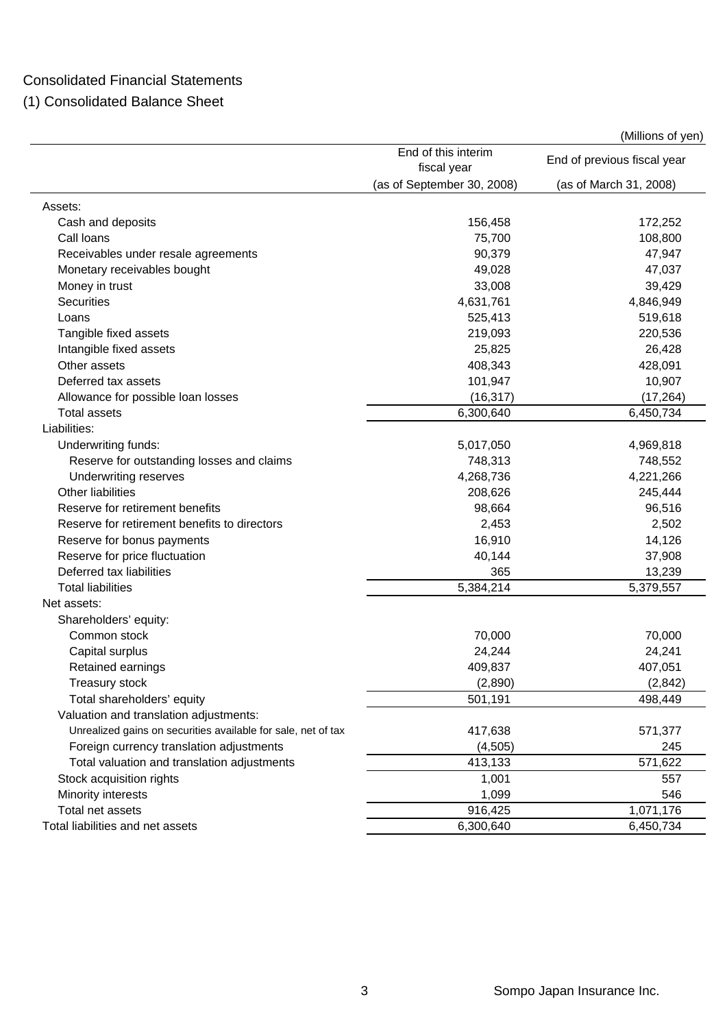### Consolidated Financial Statements

(1) Consolidated Balance Sheet

|                                                               |                                    | (Millions of yen)           |
|---------------------------------------------------------------|------------------------------------|-----------------------------|
|                                                               | End of this interim<br>fiscal year | End of previous fiscal year |
|                                                               | (as of September 30, 2008)         | (as of March 31, 2008)      |
| Assets:                                                       |                                    |                             |
| Cash and deposits                                             | 156,458                            | 172,252                     |
| Call loans                                                    | 75,700                             | 108,800                     |
| Receivables under resale agreements                           | 90,379                             | 47,947                      |
| Monetary receivables bought                                   | 49,028                             | 47,037                      |
| Money in trust                                                | 33,008                             | 39,429                      |
| <b>Securities</b>                                             | 4,631,761                          | 4,846,949                   |
| Loans                                                         | 525,413                            | 519,618                     |
| Tangible fixed assets                                         | 219,093                            | 220,536                     |
| Intangible fixed assets                                       | 25,825                             | 26,428                      |
| Other assets                                                  | 408,343                            | 428,091                     |
| Deferred tax assets                                           | 101,947                            | 10,907                      |
| Allowance for possible loan losses                            | (16, 317)                          | (17, 264)                   |
| <b>Total assets</b>                                           | 6,300,640                          | 6,450,734                   |
| Liabilities:                                                  |                                    |                             |
| Underwriting funds:                                           | 5,017,050                          | 4,969,818                   |
| Reserve for outstanding losses and claims                     | 748,313                            | 748,552                     |
| Underwriting reserves                                         | 4,268,736                          | 4,221,266                   |
| Other liabilities                                             | 208,626                            | 245,444                     |
| Reserve for retirement benefits                               | 98,664                             | 96,516                      |
| Reserve for retirement benefits to directors                  | 2,453                              | 2,502                       |
| Reserve for bonus payments                                    | 16,910                             | 14,126                      |
| Reserve for price fluctuation                                 | 40,144                             | 37,908                      |
| Deferred tax liabilities                                      | 365                                | 13,239                      |
| <b>Total liabilities</b>                                      | 5,384,214                          | 5,379,557                   |
| Net assets:                                                   |                                    |                             |
| Shareholders' equity:                                         |                                    |                             |
| Common stock                                                  | 70,000                             | 70,000                      |
| Capital surplus                                               | 24,244                             | 24,241                      |
| Retained earnings                                             | 409,837                            | 407,051                     |
| Treasury stock                                                | (2,890)                            | (2,842)                     |
| Total shareholders' equity                                    | 501,191                            | 498,449                     |
| Valuation and translation adjustments:                        |                                    |                             |
| Unrealized gains on securities available for sale, net of tax | 417,638                            | 571,377                     |
| Foreign currency translation adjustments                      | (4,505)                            | 245                         |
| Total valuation and translation adjustments                   | 413,133                            | 571,622                     |
| Stock acquisition rights                                      | 1,001                              | 557                         |
| Minority interests                                            | 1,099                              | 546                         |
| Total net assets                                              | 916,425                            | 1,071,176                   |
| Total liabilities and net assets                              | 6,300,640                          | 6,450,734                   |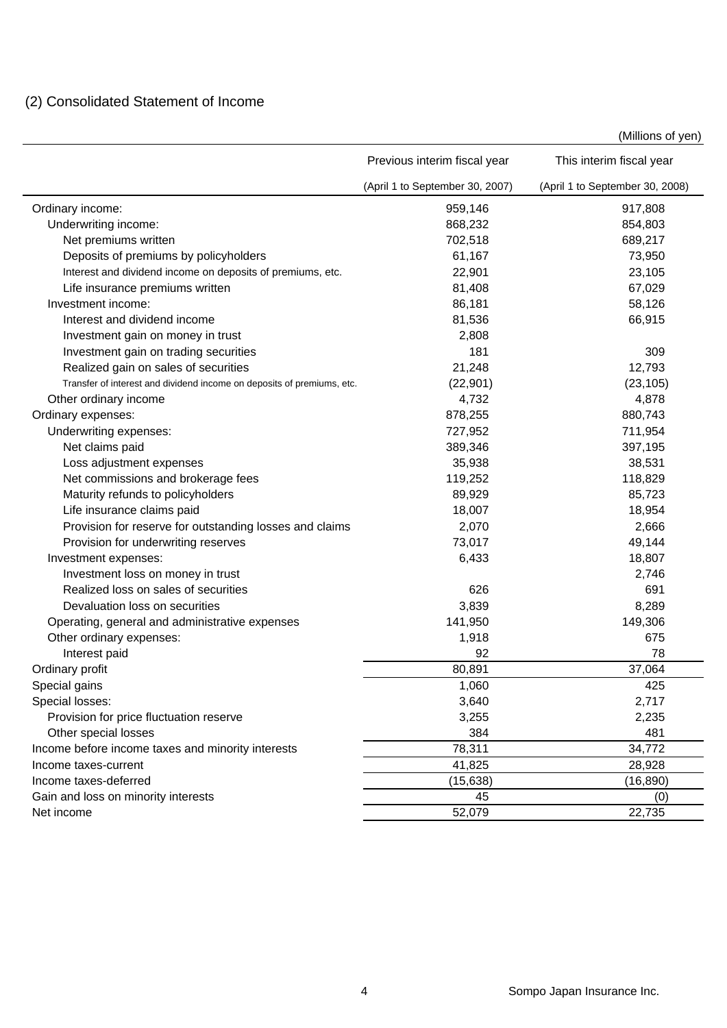### (2) Consolidated Statement of Income

|                                                                        | Previous interim fiscal year    | This interim fiscal year        |
|------------------------------------------------------------------------|---------------------------------|---------------------------------|
|                                                                        | (April 1 to September 30, 2007) | (April 1 to September 30, 2008) |
| Ordinary income:                                                       | 959,146                         | 917,808                         |
| Underwriting income:                                                   | 868,232                         | 854,803                         |
| Net premiums written                                                   | 702,518                         | 689,217                         |
| Deposits of premiums by policyholders                                  | 61,167                          | 73,950                          |
| Interest and dividend income on deposits of premiums, etc.             | 22,901                          | 23,105                          |
| Life insurance premiums written                                        | 81,408                          | 67,029                          |
| Investment income:                                                     | 86,181                          | 58,126                          |
| Interest and dividend income                                           | 81,536                          | 66,915                          |
| Investment gain on money in trust                                      | 2,808                           |                                 |
| Investment gain on trading securities                                  | 181                             | 309                             |
| Realized gain on sales of securities                                   | 21,248                          | 12,793                          |
| Transfer of interest and dividend income on deposits of premiums, etc. | (22, 901)                       | (23, 105)                       |
| Other ordinary income                                                  | 4,732                           | 4,878                           |
| Ordinary expenses:                                                     | 878,255                         | 880,743                         |
| Underwriting expenses:                                                 | 727,952                         | 711,954                         |
| Net claims paid                                                        | 389,346                         | 397,195                         |
| Loss adjustment expenses                                               | 35,938                          | 38,531                          |
| Net commissions and brokerage fees                                     | 119,252                         | 118,829                         |
| Maturity refunds to policyholders                                      | 89,929                          | 85,723                          |
| Life insurance claims paid                                             | 18,007                          | 18,954                          |
| Provision for reserve for outstanding losses and claims                | 2,070                           | 2,666                           |
| Provision for underwriting reserves                                    | 73,017                          | 49,144                          |
| Investment expenses:                                                   | 6,433                           | 18,807                          |
| Investment loss on money in trust                                      |                                 | 2,746                           |
| Realized loss on sales of securities                                   | 626                             | 691                             |
| Devaluation loss on securities                                         | 3,839                           | 8,289                           |
| Operating, general and administrative expenses                         | 141,950                         | 149,306                         |
| Other ordinary expenses:                                               | 1,918                           | 675                             |
| Interest paid                                                          | 92                              | 78                              |
| Ordinary profit                                                        | 80,891                          | 37,064                          |
| Special gains                                                          | 1,060                           | 425                             |
| Special losses:                                                        | 3,640                           | 2,717                           |
| Provision for price fluctuation reserve                                | 3,255                           | 2,235                           |
| Other special losses                                                   | 384                             | 481                             |
| Income before income taxes and minority interests                      | 78,311                          | 34,772                          |
| Income taxes-current                                                   | 41,825                          | 28,928                          |
| Income taxes-deferred                                                  | (15, 638)                       | (16, 890)                       |
| Gain and loss on minority interests                                    |                                 |                                 |
|                                                                        | 45                              | (0)                             |

(Millions of yen)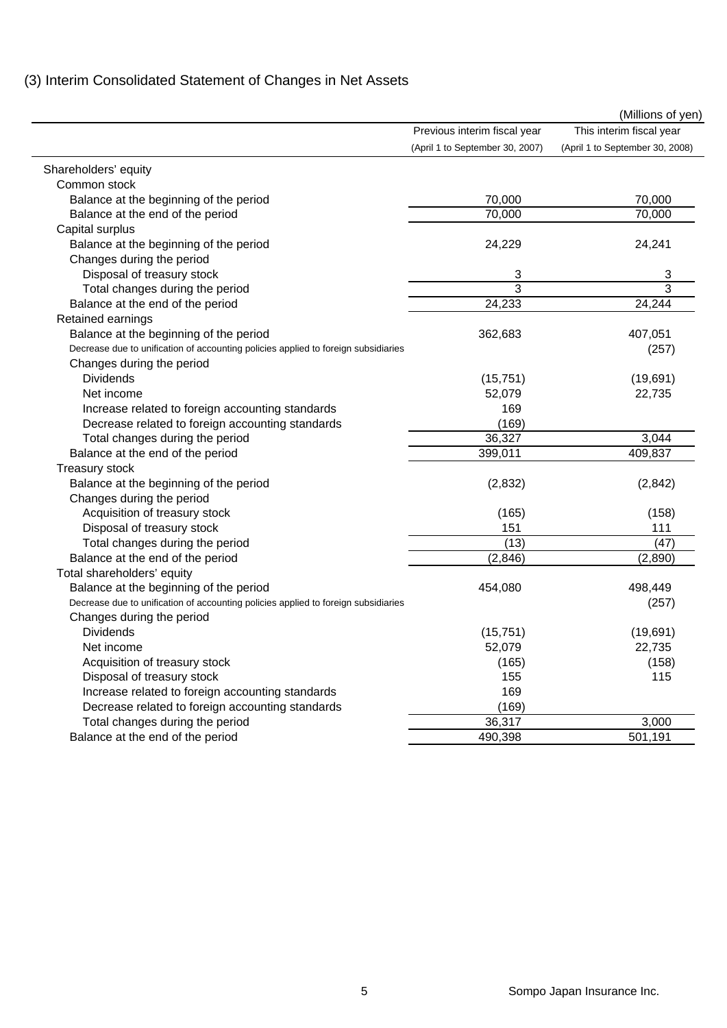|                                                                                    |                                 | (Millions of yen)               |
|------------------------------------------------------------------------------------|---------------------------------|---------------------------------|
|                                                                                    | Previous interim fiscal year    | This interim fiscal year        |
|                                                                                    | (April 1 to September 30, 2007) | (April 1 to September 30, 2008) |
| Shareholders' equity                                                               |                                 |                                 |
| Common stock                                                                       |                                 |                                 |
| Balance at the beginning of the period                                             | 70,000                          | 70,000                          |
| Balance at the end of the period                                                   | 70,000                          | 70,000                          |
| Capital surplus                                                                    |                                 |                                 |
| Balance at the beginning of the period                                             | 24,229                          | 24,241                          |
| Changes during the period                                                          |                                 |                                 |
| Disposal of treasury stock                                                         | 3                               | 3                               |
| Total changes during the period                                                    | 3                               | 3                               |
| Balance at the end of the period                                                   | 24,233                          | 24,244                          |
| Retained earnings                                                                  |                                 |                                 |
| Balance at the beginning of the period                                             | 362,683                         | 407,051                         |
| Decrease due to unification of accounting policies applied to foreign subsidiaries |                                 | (257)                           |
| Changes during the period                                                          |                                 |                                 |
| <b>Dividends</b>                                                                   | (15, 751)                       | (19,691)                        |
| Net income                                                                         | 52,079                          | 22,735                          |
| Increase related to foreign accounting standards                                   | 169                             |                                 |
| Decrease related to foreign accounting standards                                   | (169)                           |                                 |
| Total changes during the period                                                    | 36,327                          | 3,044                           |
| Balance at the end of the period                                                   | 399,011                         | 409,837                         |
| <b>Treasury stock</b>                                                              |                                 |                                 |
| Balance at the beginning of the period                                             | (2,832)                         | (2, 842)                        |
| Changes during the period                                                          |                                 |                                 |
| Acquisition of treasury stock                                                      | (165)                           | (158)                           |
| Disposal of treasury stock                                                         | 151                             | 111                             |
| Total changes during the period                                                    | (13)                            | (47)                            |
| Balance at the end of the period                                                   | (2,846)                         | (2,890)                         |
| Total shareholders' equity                                                         |                                 |                                 |
| Balance at the beginning of the period                                             | 454,080                         | 498,449                         |
| Decrease due to unification of accounting policies applied to foreign subsidiaries |                                 | (257)                           |
| Changes during the period                                                          |                                 |                                 |
| <b>Dividends</b>                                                                   | (15, 751)                       | (19,691)                        |
| Net income                                                                         | 52,079                          | 22,735                          |
| Acquisition of treasury stock                                                      | (165)                           | (158)                           |
| Disposal of treasury stock                                                         | 155                             | 115                             |
| Increase related to foreign accounting standards                                   | 169                             |                                 |
| Decrease related to foreign accounting standards                                   | (169)                           |                                 |
| Total changes during the period                                                    | 36,317                          | 3,000                           |
| Balance at the end of the period                                                   | 490,398                         | 501,191                         |

## (3) Interim Consolidated Statement of Changes in Net Assets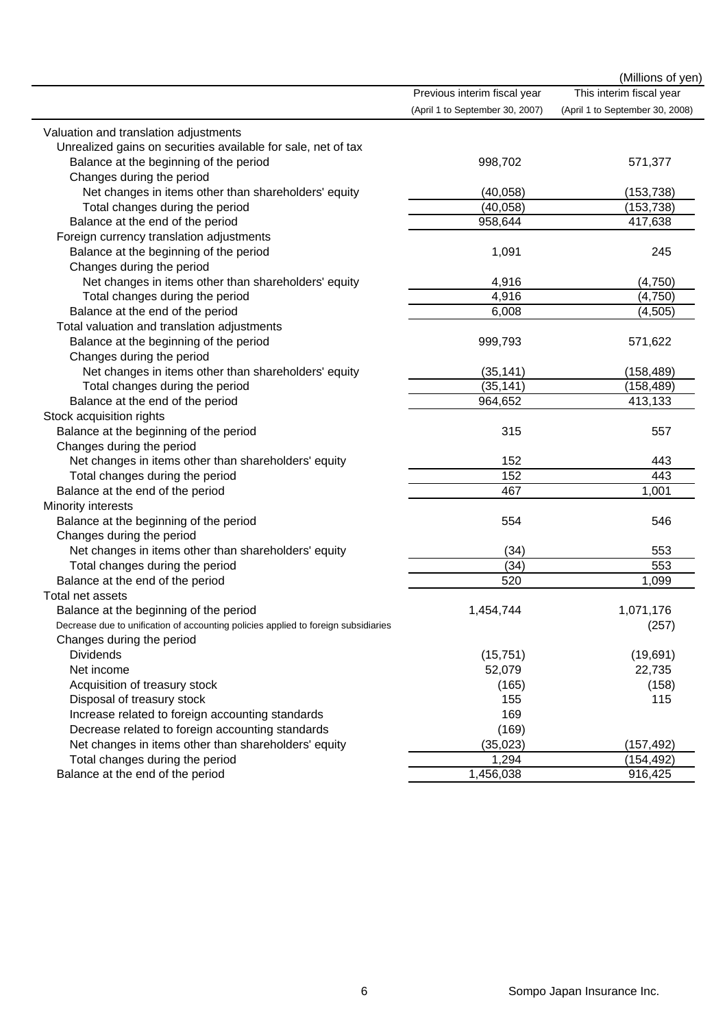|                                                                                    |                                 | (Millions of yen)               |
|------------------------------------------------------------------------------------|---------------------------------|---------------------------------|
|                                                                                    | Previous interim fiscal year    | This interim fiscal year        |
|                                                                                    | (April 1 to September 30, 2007) | (April 1 to September 30, 2008) |
| Valuation and translation adjustments                                              |                                 |                                 |
| Unrealized gains on securities available for sale, net of tax                      |                                 |                                 |
| Balance at the beginning of the period                                             | 998,702                         | 571,377                         |
| Changes during the period                                                          |                                 |                                 |
| Net changes in items other than shareholders' equity                               | (40, 058)                       | (153, 738)                      |
| Total changes during the period                                                    | (40, 058)                       | (153, 738)                      |
| Balance at the end of the period                                                   | 958,644                         | 417,638                         |
| Foreign currency translation adjustments                                           |                                 |                                 |
| Balance at the beginning of the period                                             | 1,091                           | 245                             |
| Changes during the period                                                          |                                 |                                 |
| Net changes in items other than shareholders' equity                               | 4,916                           | (4,750)                         |
| Total changes during the period                                                    | 4,916                           | (4,750)                         |
| Balance at the end of the period                                                   | 6,008                           | (4, 505)                        |
| Total valuation and translation adjustments                                        |                                 |                                 |
| Balance at the beginning of the period                                             | 999,793                         | 571,622                         |
| Changes during the period                                                          |                                 |                                 |
| Net changes in items other than shareholders' equity                               | (35, 141)                       | (158, 489)                      |
| Total changes during the period                                                    | (35, 141)                       | (158, 489)                      |
| Balance at the end of the period                                                   | 964,652                         | 413,133                         |
| Stock acquisition rights                                                           |                                 |                                 |
| Balance at the beginning of the period                                             | 315                             | 557                             |
| Changes during the period                                                          |                                 |                                 |
| Net changes in items other than shareholders' equity                               | 152                             | 443                             |
| Total changes during the period                                                    | 152                             | 443                             |
| Balance at the end of the period                                                   | 467                             | 1,001                           |
| Minority interests                                                                 |                                 |                                 |
| Balance at the beginning of the period                                             | 554                             | 546                             |
| Changes during the period                                                          |                                 |                                 |
| Net changes in items other than shareholders' equity                               | (34)                            | 553                             |
| Total changes during the period                                                    | (34)                            | 553                             |
| Balance at the end of the period                                                   | 520                             | 1,099                           |
| Total net assets                                                                   |                                 |                                 |
| Balance at the beginning of the period                                             | 1,454,744                       | 1,071,176                       |
| Decrease due to unification of accounting policies applied to foreign subsidiaries |                                 | (257)                           |
| Changes during the period                                                          |                                 |                                 |
| <b>Dividends</b>                                                                   | (15, 751)                       | (19,691)                        |
| Net income                                                                         | 52,079                          | 22,735                          |
| Acquisition of treasury stock                                                      | (165)                           | (158)                           |
| Disposal of treasury stock                                                         | 155                             | 115                             |
| Increase related to foreign accounting standards                                   | 169                             |                                 |
| Decrease related to foreign accounting standards                                   | (169)                           |                                 |
| Net changes in items other than shareholders' equity                               | (35, 023)                       | (157, 492)                      |
| Total changes during the period                                                    | 1,294                           | (154, 492)                      |
| Balance at the end of the period                                                   | 1,456,038                       | 916,425                         |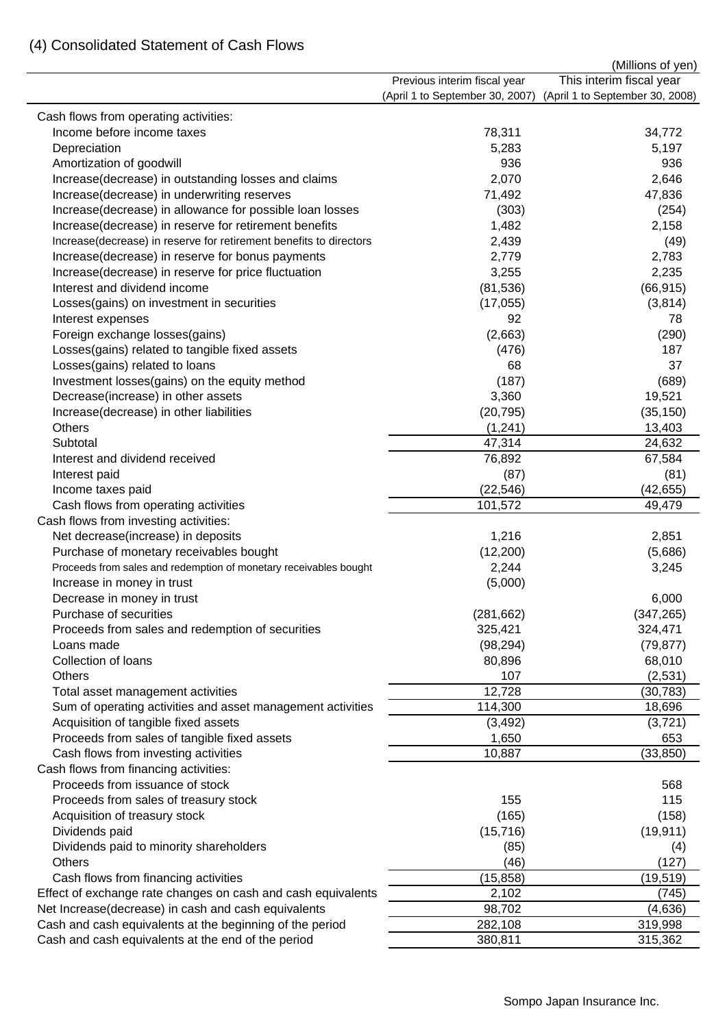## (4) Consolidated Statement of Cash Flows

|                                                                    |                                 | (Millions of yen)               |
|--------------------------------------------------------------------|---------------------------------|---------------------------------|
|                                                                    | Previous interim fiscal year    | This interim fiscal year        |
|                                                                    | (April 1 to September 30, 2007) | (April 1 to September 30, 2008) |
| Cash flows from operating activities:                              |                                 |                                 |
| Income before income taxes                                         | 78,311                          | 34,772                          |
| Depreciation                                                       | 5,283                           | 5,197                           |
| Amortization of goodwill                                           | 936                             | 936                             |
| Increase(decrease) in outstanding losses and claims                | 2,070                           | 2,646                           |
| Increase(decrease) in underwriting reserves                        | 71,492                          | 47,836                          |
| Increase(decrease) in allowance for possible loan losses           | (303)                           | (254)                           |
| Increase(decrease) in reserve for retirement benefits              | 1,482                           | 2,158                           |
| Increase(decrease) in reserve for retirement benefits to directors | 2,439                           | (49)                            |
| Increase(decrease) in reserve for bonus payments                   | 2,779                           | 2,783                           |
| Increase(decrease) in reserve for price fluctuation                | 3,255                           | 2,235                           |
| Interest and dividend income                                       | (81, 536)                       | (66, 915)                       |
| Losses(gains) on investment in securities                          | (17, 055)                       | (3,814)                         |
| Interest expenses                                                  | 92                              | 78                              |
| Foreign exchange losses(gains)                                     | (2,663)                         | (290)                           |
| Losses(gains) related to tangible fixed assets                     | (476)                           | 187                             |
| Losses(gains) related to loans                                     | 68                              | 37                              |
| Investment losses(gains) on the equity method                      | (187)                           | (689)                           |
| Decrease(increase) in other assets                                 | 3,360                           | 19,521                          |
| Increase(decrease) in other liabilities                            | (20, 795)                       | (35, 150)                       |
| <b>Others</b>                                                      | (1, 241)                        | 13,403                          |
| Subtotal                                                           | 47,314                          | 24,632                          |
| Interest and dividend received                                     | 76,892                          | 67,584                          |
| Interest paid                                                      | (87)                            | (81)                            |
| Income taxes paid                                                  | (22, 546)                       | (42, 655)                       |
| Cash flows from operating activities                               | 101,572                         | 49,479                          |
| Cash flows from investing activities:                              |                                 |                                 |
| Net decrease(increase) in deposits                                 | 1,216                           | 2,851                           |
| Purchase of monetary receivables bought                            | (12, 200)                       | (5,686)                         |
| Proceeds from sales and redemption of monetary receivables bought  | 2,244                           | 3,245                           |
| Increase in money in trust                                         | (5,000)                         |                                 |
| Decrease in money in trust                                         |                                 | 6,000                           |
| Purchase of securities                                             | (281, 662)                      | (347, 265)                      |
| Proceeds from sales and redemption of securities                   | 325,421                         | 324,471                         |
| Loans made                                                         | (98, 294)                       | (79, 877)                       |
| Collection of loans                                                | 80,896                          | 68,010                          |
| <b>Others</b>                                                      | 107                             | (2, 531)                        |
| Total asset management activities                                  | 12,728                          | (30, 783)                       |
| Sum of operating activities and asset management activities        | 114,300                         | 18,696                          |
| Acquisition of tangible fixed assets                               | (3, 492)                        | (3,721)                         |
| Proceeds from sales of tangible fixed assets                       | 1,650                           | 653                             |
| Cash flows from investing activities                               | 10,887                          | (33, 850)                       |
| Cash flows from financing activities:                              |                                 |                                 |
| Proceeds from issuance of stock                                    |                                 | 568                             |
| Proceeds from sales of treasury stock                              | 155                             | 115                             |
| Acquisition of treasury stock                                      | (165)                           | (158)                           |
| Dividends paid                                                     | (15, 716)                       | (19, 911)                       |
| Dividends paid to minority shareholders                            | (85)                            | (4)                             |
| <b>Others</b>                                                      | (46)                            | (127)                           |
| Cash flows from financing activities                               | (15, 858)                       | (19, 519)                       |
| Effect of exchange rate changes on cash and cash equivalents       | 2,102                           | (745)                           |
| Net Increase(decrease) in cash and cash equivalents                | 98,702                          | (4,636)                         |
| Cash and cash equivalents at the beginning of the period           | 282,108                         | 319,998                         |
| Cash and cash equivalents at the end of the period                 | 380,811                         | 315,362                         |
|                                                                    |                                 |                                 |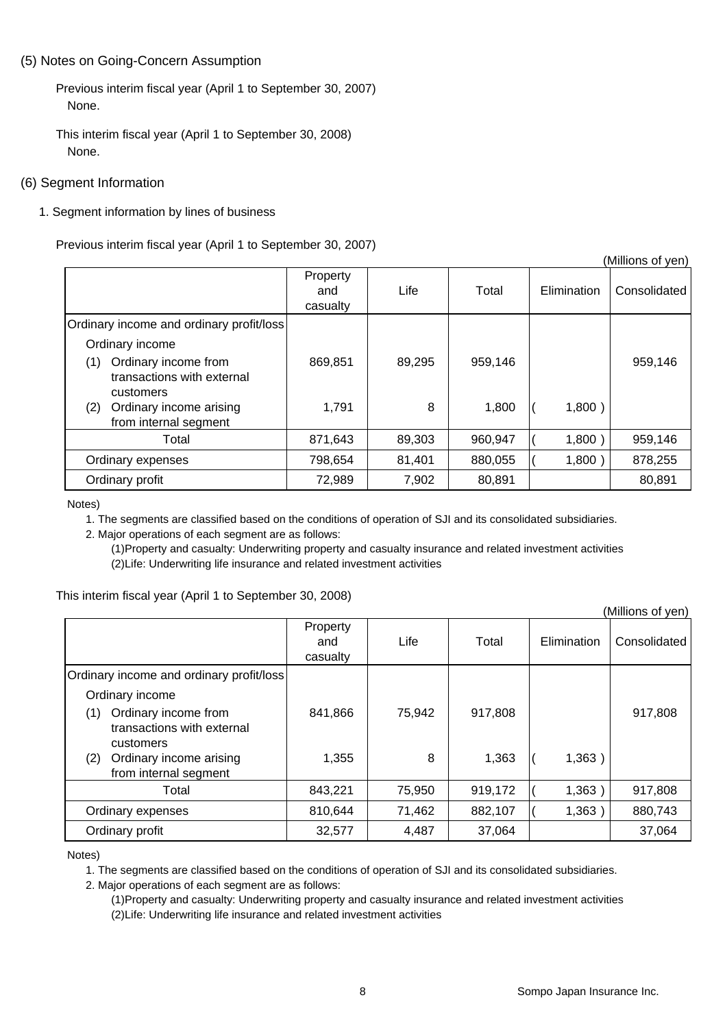#### (5) Notes on Going-Concern Assumption

Previous interim fiscal year (April 1 to September 30, 2007) None.

This interim fiscal year (April 1 to September 30, 2008) None.

#### (6) Segment Information

1. Segment information by lines of business

Previous interim fiscal year (April 1 to September 30, 2007)

|                                                                        |                             |        |         |             | (Millions of yen) |
|------------------------------------------------------------------------|-----------------------------|--------|---------|-------------|-------------------|
|                                                                        | Property<br>and<br>casualty | Life   | Total   | Elimination | Consolidated      |
| Ordinary income and ordinary profit/loss                               |                             |        |         |             |                   |
| Ordinary income                                                        |                             |        |         |             |                   |
| Ordinary income from<br>(1)<br>transactions with external<br>customers | 869,851                     | 89,295 | 959,146 |             | 959,146           |
| Ordinary income arising<br>(2)<br>from internal segment                | 1,791                       | 8      | 1,800   | 1,800)      |                   |
| Total                                                                  | 871,643                     | 89,303 | 960,947 | 1,800)      | 959,146           |
| Ordinary expenses                                                      | 798,654                     | 81,401 | 880,055 | 1,800)      | 878,255           |
| Ordinary profit                                                        | 72,989                      | 7,902  | 80,891  |             | 80,891            |

Notes)

1. The segments are classified based on the conditions of operation of SJI and its consolidated subsidiaries.

2. Major operations of each segment are as follows:

(1)Property and casualty: Underwriting property and casualty insurance and related investment activities (2)Life: Underwriting life insurance and related investment activities

This interim fiscal year (April 1 to September 30, 2008)

|                                                                        |                             |        |         |             | (Millions of yen) |
|------------------------------------------------------------------------|-----------------------------|--------|---------|-------------|-------------------|
|                                                                        | Property<br>and<br>casualty | Life   | Total   | Elimination | Consolidated      |
| Ordinary income and ordinary profit/loss                               |                             |        |         |             |                   |
| Ordinary income                                                        |                             |        |         |             |                   |
| Ordinary income from<br>(1)<br>transactions with external<br>customers | 841,866                     | 75,942 | 917,808 |             | 917,808           |
| Ordinary income arising<br>(2)<br>from internal segment                | 1,355                       | 8      | 1,363   | 1,363)      |                   |
| Total                                                                  | 843,221                     | 75,950 | 919,172 | 1,363       | 917,808           |
| Ordinary expenses                                                      | 810,644                     | 71,462 | 882,107 | 1,363       | 880,743           |
| Ordinary profit                                                        | 32,577                      | 4,487  | 37,064  |             | 37,064            |

Notes)

1. The segments are classified based on the conditions of operation of SJI and its consolidated subsidiaries.

2. Major operations of each segment are as follows:

(1)Property and casualty: Underwriting property and casualty insurance and related investment activities (2)Life: Underwriting life insurance and related investment activities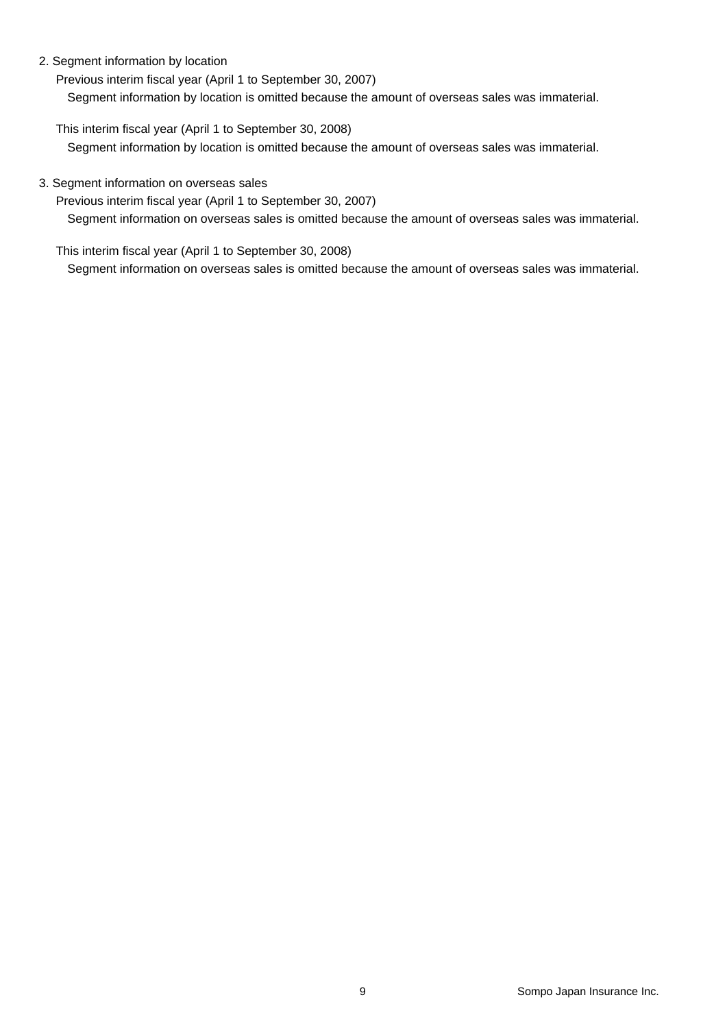#### 2. Segment information by location

Previous interim fiscal year (April 1 to September 30, 2007) Segment information by location is omitted because the amount of overseas sales was immaterial.

This interim fiscal year (April 1 to September 30, 2008) Segment information by location is omitted because the amount of overseas sales was immaterial.

#### 3. Segment information on overseas sales

Previous interim fiscal year (April 1 to September 30, 2007)

Segment information on overseas sales is omitted because the amount of overseas sales was immaterial.

This interim fiscal year (April 1 to September 30, 2008)

Segment information on overseas sales is omitted because the amount of overseas sales was immaterial.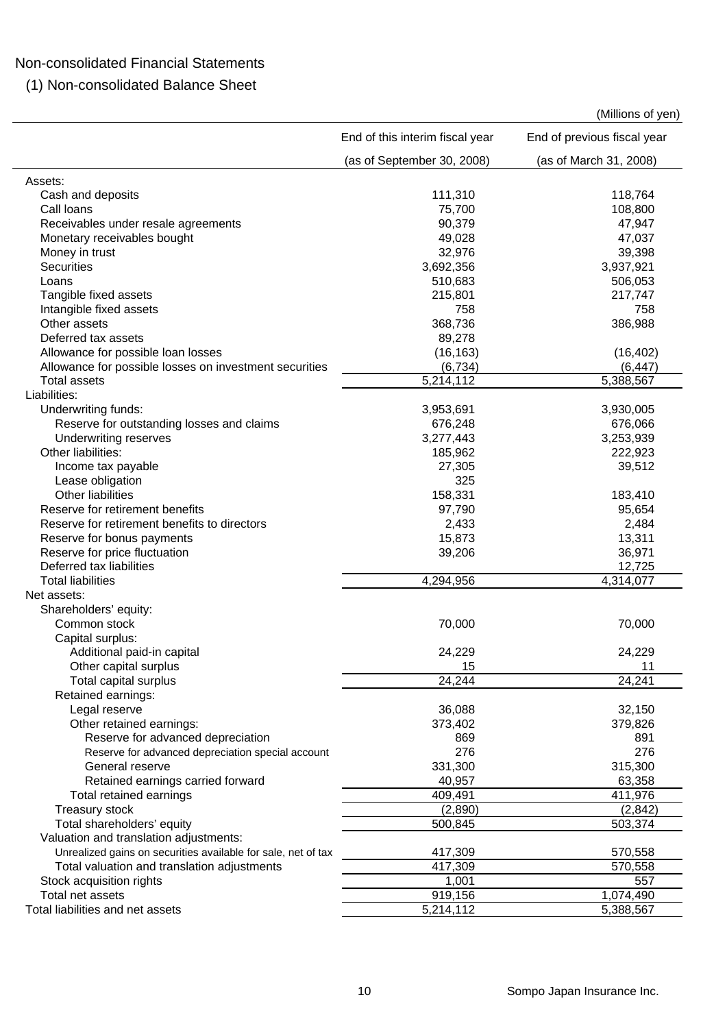### Non-consolidated Financial Statements

(1) Non-consolidated Balance Sheet

(Millions of yen)

|                                                               | End of this interim fiscal year | End of previous fiscal year |
|---------------------------------------------------------------|---------------------------------|-----------------------------|
|                                                               | (as of September 30, 2008)      | (as of March 31, 2008)      |
| Assets:                                                       |                                 |                             |
| Cash and deposits                                             | 111,310                         | 118,764                     |
| Call Ioans                                                    | 75,700                          | 108,800                     |
| Receivables under resale agreements                           | 90,379                          | 47,947                      |
| Monetary receivables bought                                   | 49,028                          | 47,037                      |
| Money in trust                                                | 32,976                          | 39,398                      |
| <b>Securities</b>                                             | 3,692,356                       | 3,937,921                   |
| Loans                                                         | 510,683                         | 506,053                     |
| Tangible fixed assets                                         | 215,801                         | 217,747                     |
| Intangible fixed assets                                       | 758                             | 758                         |
| Other assets                                                  | 368,736                         | 386,988                     |
| Deferred tax assets                                           | 89,278                          |                             |
| Allowance for possible loan losses                            | (16, 163)                       | (16, 402)                   |
| Allowance for possible losses on investment securities        | (6, 734)                        | (6, 447)                    |
| <b>Total assets</b>                                           | 5,214,112                       | 5,388,567                   |
| Liabilities:                                                  |                                 |                             |
| Underwriting funds:                                           | 3,953,691                       | 3,930,005                   |
| Reserve for outstanding losses and claims                     | 676,248                         | 676,066                     |
| Underwriting reserves                                         | 3,277,443                       | 3,253,939                   |
| Other liabilities:                                            | 185,962                         | 222,923                     |
|                                                               | 27,305                          |                             |
| Income tax payable                                            | 325                             | 39,512                      |
| Lease obligation                                              |                                 |                             |
| Other liabilities                                             | 158,331                         | 183,410                     |
| Reserve for retirement benefits                               | 97,790                          | 95,654                      |
| Reserve for retirement benefits to directors                  | 2,433                           | 2,484                       |
| Reserve for bonus payments                                    | 15,873                          | 13,311                      |
| Reserve for price fluctuation                                 | 39,206                          | 36,971                      |
| Deferred tax liabilities                                      |                                 | 12,725                      |
| <b>Total liabilities</b>                                      | 4,294,956                       | 4,314,077                   |
| Net assets:                                                   |                                 |                             |
| Shareholders' equity:                                         |                                 |                             |
| Common stock                                                  | 70,000                          | 70,000                      |
| Capital surplus:                                              |                                 |                             |
| Additional paid-in capital                                    | 24,229                          | 24,229                      |
| Other capital surplus                                         | 15                              | 11                          |
| Total capital surplus                                         | 24,244                          | 24,241                      |
| Retained earnings:                                            |                                 |                             |
| Legal reserve                                                 | 36,088                          | 32,150                      |
| Other retained earnings:                                      | 373,402                         | 379,826                     |
| Reserve for advanced depreciation                             | 869                             | 891                         |
| Reserve for advanced depreciation special account             | 276                             | 276                         |
| General reserve                                               | 331,300                         | 315,300                     |
| Retained earnings carried forward                             | 40,957                          | 63,358                      |
| Total retained earnings                                       | 409,491                         | 411,976                     |
| Treasury stock                                                | (2,890)                         | (2, 842)                    |
| Total shareholders' equity                                    | 500,845                         | 503,374                     |
| Valuation and translation adjustments:                        |                                 |                             |
| Unrealized gains on securities available for sale, net of tax | 417,309                         | 570,558                     |
| Total valuation and translation adjustments                   | 417,309                         | 570,558                     |
| Stock acquisition rights                                      | 1,001                           | 557                         |
| Total net assets                                              | 919,156                         | 1,074,490                   |
| Total liabilities and net assets                              | 5,214,112                       | 5,388,567                   |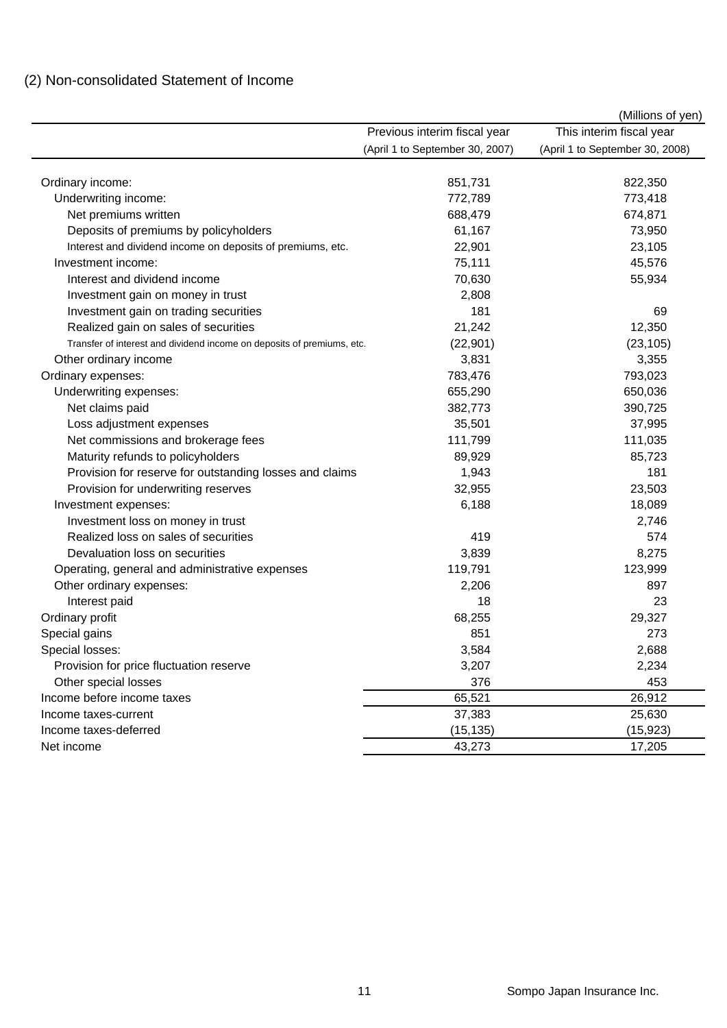## (2) Non-consolidated Statement of Income

| This interim fiscal year<br>Previous interim fiscal year<br>(April 1 to September 30, 2007)<br>(April 1 to September 30, 2008)<br>851,731<br>822,350<br>Ordinary income:<br>Underwriting income:<br>772,789<br>773,418<br>Net premiums written<br>688,479<br>674,871<br>61,167<br>Deposits of premiums by policyholders<br>73,950<br>22,901<br>23,105<br>Interest and dividend income on deposits of premiums, etc.<br>45,576<br>Investment income:<br>75,111<br>Interest and dividend income<br>70,630<br>55,934<br>2,808<br>Investment gain on money in trust<br>181<br>Investment gain on trading securities<br>69<br>21,242<br>Realized gain on sales of securities<br>12,350<br>Transfer of interest and dividend income on deposits of premiums, etc.<br>(22, 901)<br>(23, 105)<br>3,355<br>Other ordinary income<br>3,831<br>783,476<br>793,023<br>Ordinary expenses:<br>655,290<br>650,036<br>Underwriting expenses:<br>Net claims paid<br>382,773<br>390,725<br>35,501<br>Loss adjustment expenses<br>37,995<br>Net commissions and brokerage fees<br>111,799<br>111,035<br>Maturity refunds to policyholders<br>89,929<br>85,723<br>1,943<br>Provision for reserve for outstanding losses and claims<br>181<br>32,955<br>23,503<br>Provision for underwriting reserves<br>6,188<br>18,089<br>Investment expenses:<br>2,746<br>Investment loss on money in trust<br>Realized loss on sales of securities<br>574<br>419<br>Devaluation loss on securities<br>3,839<br>8,275<br>119,791<br>123,999<br>Operating, general and administrative expenses<br>Other ordinary expenses:<br>2,206<br>897<br>23<br>Interest paid<br>18<br>68,255<br>29,327<br>Ordinary profit<br>Special gains<br>851<br>273<br>3,584<br>2,688<br>Special losses:<br>3,207<br>2,234<br>Provision for price fluctuation reserve<br>Other special losses<br>376<br>453<br>Income before income taxes<br>65,521<br>26,912<br>37,383<br>25,630<br>Income taxes-current<br>Income taxes-deferred<br>(15, 135)<br>(15, 923)<br>Net income<br>43,273<br>17,205 |  | (Millions of yen) |
|---------------------------------------------------------------------------------------------------------------------------------------------------------------------------------------------------------------------------------------------------------------------------------------------------------------------------------------------------------------------------------------------------------------------------------------------------------------------------------------------------------------------------------------------------------------------------------------------------------------------------------------------------------------------------------------------------------------------------------------------------------------------------------------------------------------------------------------------------------------------------------------------------------------------------------------------------------------------------------------------------------------------------------------------------------------------------------------------------------------------------------------------------------------------------------------------------------------------------------------------------------------------------------------------------------------------------------------------------------------------------------------------------------------------------------------------------------------------------------------------------------------------------------------------------------------------------------------------------------------------------------------------------------------------------------------------------------------------------------------------------------------------------------------------------------------------------------------------------------------------------------------------------------------------------------------------------------------------------------------------------------------------------------------|--|-------------------|
|                                                                                                                                                                                                                                                                                                                                                                                                                                                                                                                                                                                                                                                                                                                                                                                                                                                                                                                                                                                                                                                                                                                                                                                                                                                                                                                                                                                                                                                                                                                                                                                                                                                                                                                                                                                                                                                                                                                                                                                                                                       |  |                   |
|                                                                                                                                                                                                                                                                                                                                                                                                                                                                                                                                                                                                                                                                                                                                                                                                                                                                                                                                                                                                                                                                                                                                                                                                                                                                                                                                                                                                                                                                                                                                                                                                                                                                                                                                                                                                                                                                                                                                                                                                                                       |  |                   |
|                                                                                                                                                                                                                                                                                                                                                                                                                                                                                                                                                                                                                                                                                                                                                                                                                                                                                                                                                                                                                                                                                                                                                                                                                                                                                                                                                                                                                                                                                                                                                                                                                                                                                                                                                                                                                                                                                                                                                                                                                                       |  |                   |
|                                                                                                                                                                                                                                                                                                                                                                                                                                                                                                                                                                                                                                                                                                                                                                                                                                                                                                                                                                                                                                                                                                                                                                                                                                                                                                                                                                                                                                                                                                                                                                                                                                                                                                                                                                                                                                                                                                                                                                                                                                       |  |                   |
|                                                                                                                                                                                                                                                                                                                                                                                                                                                                                                                                                                                                                                                                                                                                                                                                                                                                                                                                                                                                                                                                                                                                                                                                                                                                                                                                                                                                                                                                                                                                                                                                                                                                                                                                                                                                                                                                                                                                                                                                                                       |  |                   |
|                                                                                                                                                                                                                                                                                                                                                                                                                                                                                                                                                                                                                                                                                                                                                                                                                                                                                                                                                                                                                                                                                                                                                                                                                                                                                                                                                                                                                                                                                                                                                                                                                                                                                                                                                                                                                                                                                                                                                                                                                                       |  |                   |
|                                                                                                                                                                                                                                                                                                                                                                                                                                                                                                                                                                                                                                                                                                                                                                                                                                                                                                                                                                                                                                                                                                                                                                                                                                                                                                                                                                                                                                                                                                                                                                                                                                                                                                                                                                                                                                                                                                                                                                                                                                       |  |                   |
|                                                                                                                                                                                                                                                                                                                                                                                                                                                                                                                                                                                                                                                                                                                                                                                                                                                                                                                                                                                                                                                                                                                                                                                                                                                                                                                                                                                                                                                                                                                                                                                                                                                                                                                                                                                                                                                                                                                                                                                                                                       |  |                   |
|                                                                                                                                                                                                                                                                                                                                                                                                                                                                                                                                                                                                                                                                                                                                                                                                                                                                                                                                                                                                                                                                                                                                                                                                                                                                                                                                                                                                                                                                                                                                                                                                                                                                                                                                                                                                                                                                                                                                                                                                                                       |  |                   |
|                                                                                                                                                                                                                                                                                                                                                                                                                                                                                                                                                                                                                                                                                                                                                                                                                                                                                                                                                                                                                                                                                                                                                                                                                                                                                                                                                                                                                                                                                                                                                                                                                                                                                                                                                                                                                                                                                                                                                                                                                                       |  |                   |
|                                                                                                                                                                                                                                                                                                                                                                                                                                                                                                                                                                                                                                                                                                                                                                                                                                                                                                                                                                                                                                                                                                                                                                                                                                                                                                                                                                                                                                                                                                                                                                                                                                                                                                                                                                                                                                                                                                                                                                                                                                       |  |                   |
|                                                                                                                                                                                                                                                                                                                                                                                                                                                                                                                                                                                                                                                                                                                                                                                                                                                                                                                                                                                                                                                                                                                                                                                                                                                                                                                                                                                                                                                                                                                                                                                                                                                                                                                                                                                                                                                                                                                                                                                                                                       |  |                   |
|                                                                                                                                                                                                                                                                                                                                                                                                                                                                                                                                                                                                                                                                                                                                                                                                                                                                                                                                                                                                                                                                                                                                                                                                                                                                                                                                                                                                                                                                                                                                                                                                                                                                                                                                                                                                                                                                                                                                                                                                                                       |  |                   |
|                                                                                                                                                                                                                                                                                                                                                                                                                                                                                                                                                                                                                                                                                                                                                                                                                                                                                                                                                                                                                                                                                                                                                                                                                                                                                                                                                                                                                                                                                                                                                                                                                                                                                                                                                                                                                                                                                                                                                                                                                                       |  |                   |
|                                                                                                                                                                                                                                                                                                                                                                                                                                                                                                                                                                                                                                                                                                                                                                                                                                                                                                                                                                                                                                                                                                                                                                                                                                                                                                                                                                                                                                                                                                                                                                                                                                                                                                                                                                                                                                                                                                                                                                                                                                       |  |                   |
|                                                                                                                                                                                                                                                                                                                                                                                                                                                                                                                                                                                                                                                                                                                                                                                                                                                                                                                                                                                                                                                                                                                                                                                                                                                                                                                                                                                                                                                                                                                                                                                                                                                                                                                                                                                                                                                                                                                                                                                                                                       |  |                   |
|                                                                                                                                                                                                                                                                                                                                                                                                                                                                                                                                                                                                                                                                                                                                                                                                                                                                                                                                                                                                                                                                                                                                                                                                                                                                                                                                                                                                                                                                                                                                                                                                                                                                                                                                                                                                                                                                                                                                                                                                                                       |  |                   |
|                                                                                                                                                                                                                                                                                                                                                                                                                                                                                                                                                                                                                                                                                                                                                                                                                                                                                                                                                                                                                                                                                                                                                                                                                                                                                                                                                                                                                                                                                                                                                                                                                                                                                                                                                                                                                                                                                                                                                                                                                                       |  |                   |
|                                                                                                                                                                                                                                                                                                                                                                                                                                                                                                                                                                                                                                                                                                                                                                                                                                                                                                                                                                                                                                                                                                                                                                                                                                                                                                                                                                                                                                                                                                                                                                                                                                                                                                                                                                                                                                                                                                                                                                                                                                       |  |                   |
|                                                                                                                                                                                                                                                                                                                                                                                                                                                                                                                                                                                                                                                                                                                                                                                                                                                                                                                                                                                                                                                                                                                                                                                                                                                                                                                                                                                                                                                                                                                                                                                                                                                                                                                                                                                                                                                                                                                                                                                                                                       |  |                   |
|                                                                                                                                                                                                                                                                                                                                                                                                                                                                                                                                                                                                                                                                                                                                                                                                                                                                                                                                                                                                                                                                                                                                                                                                                                                                                                                                                                                                                                                                                                                                                                                                                                                                                                                                                                                                                                                                                                                                                                                                                                       |  |                   |
|                                                                                                                                                                                                                                                                                                                                                                                                                                                                                                                                                                                                                                                                                                                                                                                                                                                                                                                                                                                                                                                                                                                                                                                                                                                                                                                                                                                                                                                                                                                                                                                                                                                                                                                                                                                                                                                                                                                                                                                                                                       |  |                   |
|                                                                                                                                                                                                                                                                                                                                                                                                                                                                                                                                                                                                                                                                                                                                                                                                                                                                                                                                                                                                                                                                                                                                                                                                                                                                                                                                                                                                                                                                                                                                                                                                                                                                                                                                                                                                                                                                                                                                                                                                                                       |  |                   |
|                                                                                                                                                                                                                                                                                                                                                                                                                                                                                                                                                                                                                                                                                                                                                                                                                                                                                                                                                                                                                                                                                                                                                                                                                                                                                                                                                                                                                                                                                                                                                                                                                                                                                                                                                                                                                                                                                                                                                                                                                                       |  |                   |
|                                                                                                                                                                                                                                                                                                                                                                                                                                                                                                                                                                                                                                                                                                                                                                                                                                                                                                                                                                                                                                                                                                                                                                                                                                                                                                                                                                                                                                                                                                                                                                                                                                                                                                                                                                                                                                                                                                                                                                                                                                       |  |                   |
|                                                                                                                                                                                                                                                                                                                                                                                                                                                                                                                                                                                                                                                                                                                                                                                                                                                                                                                                                                                                                                                                                                                                                                                                                                                                                                                                                                                                                                                                                                                                                                                                                                                                                                                                                                                                                                                                                                                                                                                                                                       |  |                   |
|                                                                                                                                                                                                                                                                                                                                                                                                                                                                                                                                                                                                                                                                                                                                                                                                                                                                                                                                                                                                                                                                                                                                                                                                                                                                                                                                                                                                                                                                                                                                                                                                                                                                                                                                                                                                                                                                                                                                                                                                                                       |  |                   |
|                                                                                                                                                                                                                                                                                                                                                                                                                                                                                                                                                                                                                                                                                                                                                                                                                                                                                                                                                                                                                                                                                                                                                                                                                                                                                                                                                                                                                                                                                                                                                                                                                                                                                                                                                                                                                                                                                                                                                                                                                                       |  |                   |
|                                                                                                                                                                                                                                                                                                                                                                                                                                                                                                                                                                                                                                                                                                                                                                                                                                                                                                                                                                                                                                                                                                                                                                                                                                                                                                                                                                                                                                                                                                                                                                                                                                                                                                                                                                                                                                                                                                                                                                                                                                       |  |                   |
|                                                                                                                                                                                                                                                                                                                                                                                                                                                                                                                                                                                                                                                                                                                                                                                                                                                                                                                                                                                                                                                                                                                                                                                                                                                                                                                                                                                                                                                                                                                                                                                                                                                                                                                                                                                                                                                                                                                                                                                                                                       |  |                   |
|                                                                                                                                                                                                                                                                                                                                                                                                                                                                                                                                                                                                                                                                                                                                                                                                                                                                                                                                                                                                                                                                                                                                                                                                                                                                                                                                                                                                                                                                                                                                                                                                                                                                                                                                                                                                                                                                                                                                                                                                                                       |  |                   |
|                                                                                                                                                                                                                                                                                                                                                                                                                                                                                                                                                                                                                                                                                                                                                                                                                                                                                                                                                                                                                                                                                                                                                                                                                                                                                                                                                                                                                                                                                                                                                                                                                                                                                                                                                                                                                                                                                                                                                                                                                                       |  |                   |
|                                                                                                                                                                                                                                                                                                                                                                                                                                                                                                                                                                                                                                                                                                                                                                                                                                                                                                                                                                                                                                                                                                                                                                                                                                                                                                                                                                                                                                                                                                                                                                                                                                                                                                                                                                                                                                                                                                                                                                                                                                       |  |                   |
|                                                                                                                                                                                                                                                                                                                                                                                                                                                                                                                                                                                                                                                                                                                                                                                                                                                                                                                                                                                                                                                                                                                                                                                                                                                                                                                                                                                                                                                                                                                                                                                                                                                                                                                                                                                                                                                                                                                                                                                                                                       |  |                   |
|                                                                                                                                                                                                                                                                                                                                                                                                                                                                                                                                                                                                                                                                                                                                                                                                                                                                                                                                                                                                                                                                                                                                                                                                                                                                                                                                                                                                                                                                                                                                                                                                                                                                                                                                                                                                                                                                                                                                                                                                                                       |  |                   |
|                                                                                                                                                                                                                                                                                                                                                                                                                                                                                                                                                                                                                                                                                                                                                                                                                                                                                                                                                                                                                                                                                                                                                                                                                                                                                                                                                                                                                                                                                                                                                                                                                                                                                                                                                                                                                                                                                                                                                                                                                                       |  |                   |
|                                                                                                                                                                                                                                                                                                                                                                                                                                                                                                                                                                                                                                                                                                                                                                                                                                                                                                                                                                                                                                                                                                                                                                                                                                                                                                                                                                                                                                                                                                                                                                                                                                                                                                                                                                                                                                                                                                                                                                                                                                       |  |                   |
|                                                                                                                                                                                                                                                                                                                                                                                                                                                                                                                                                                                                                                                                                                                                                                                                                                                                                                                                                                                                                                                                                                                                                                                                                                                                                                                                                                                                                                                                                                                                                                                                                                                                                                                                                                                                                                                                                                                                                                                                                                       |  |                   |
|                                                                                                                                                                                                                                                                                                                                                                                                                                                                                                                                                                                                                                                                                                                                                                                                                                                                                                                                                                                                                                                                                                                                                                                                                                                                                                                                                                                                                                                                                                                                                                                                                                                                                                                                                                                                                                                                                                                                                                                                                                       |  |                   |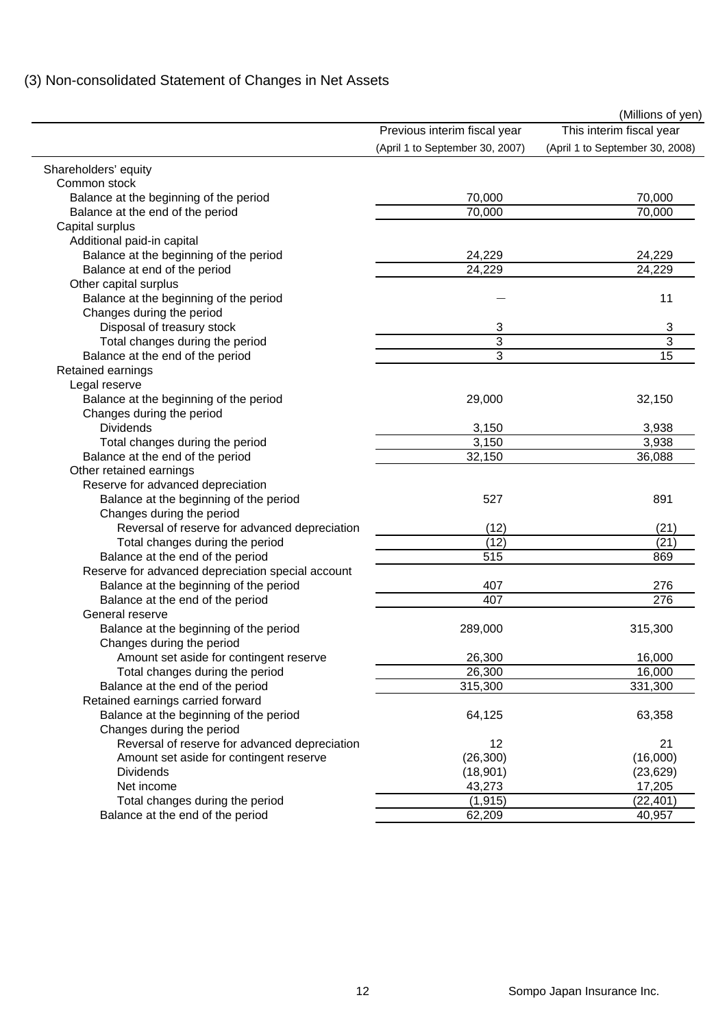| (3) Non-consolidated Statement of Changes in Net Assets |  |
|---------------------------------------------------------|--|
|---------------------------------------------------------|--|

|                                                   |                                 | (Millions of yen)               |
|---------------------------------------------------|---------------------------------|---------------------------------|
|                                                   | Previous interim fiscal year    | This interim fiscal year        |
|                                                   | (April 1 to September 30, 2007) | (April 1 to September 30, 2008) |
| Shareholders' equity                              |                                 |                                 |
| Common stock                                      |                                 |                                 |
| Balance at the beginning of the period            | 70,000                          | 70,000                          |
| Balance at the end of the period                  | 70,000                          | 70,000                          |
| Capital surplus                                   |                                 |                                 |
| Additional paid-in capital                        |                                 |                                 |
| Balance at the beginning of the period            | 24,229                          | 24,229                          |
| Balance at end of the period                      | 24,229                          | 24,229                          |
| Other capital surplus                             |                                 |                                 |
| Balance at the beginning of the period            |                                 | 11                              |
| Changes during the period                         |                                 |                                 |
| Disposal of treasury stock                        | 3                               | 3                               |
| Total changes during the period                   | 3                               | 3                               |
| Balance at the end of the period                  | 3                               | 15                              |
| Retained earnings                                 |                                 |                                 |
| Legal reserve                                     |                                 |                                 |
| Balance at the beginning of the period            | 29,000                          | 32,150                          |
| Changes during the period                         |                                 |                                 |
| <b>Dividends</b>                                  | 3,150                           | 3,938                           |
| Total changes during the period                   | 3,150                           | 3,938                           |
| Balance at the end of the period                  | 32,150                          | 36,088                          |
| Other retained earnings                           |                                 |                                 |
| Reserve for advanced depreciation                 |                                 |                                 |
| Balance at the beginning of the period            | 527                             | 891                             |
| Changes during the period                         |                                 |                                 |
| Reversal of reserve for advanced depreciation     | (12)                            | (21)                            |
| Total changes during the period                   | (12)                            | (21)                            |
| Balance at the end of the period                  | 515                             | 869                             |
| Reserve for advanced depreciation special account |                                 |                                 |
| Balance at the beginning of the period            | 407                             | 276                             |
| Balance at the end of the period                  | 407                             | $\overline{276}$                |
| General reserve                                   |                                 |                                 |
| Balance at the beginning of the period            | 289,000                         | 315,300                         |
| Changes during the period                         |                                 |                                 |
| Amount set aside for contingent reserve           | 26,300                          | 16,000                          |
| Total changes during the period                   | 26,300                          | 16,000                          |
| Balance at the end of the period                  | 315,300                         | 331,300                         |
| Retained earnings carried forward                 |                                 |                                 |
| Balance at the beginning of the period            | 64,125                          | 63,358                          |
| Changes during the period                         |                                 |                                 |
| Reversal of reserve for advanced depreciation     | 12                              | 21                              |
| Amount set aside for contingent reserve           | (26, 300)                       | (16,000)                        |
| <b>Dividends</b>                                  | (18, 901)                       | (23, 629)                       |
| Net income                                        | 43,273                          | 17,205                          |
| Total changes during the period                   | (1, 915)                        | (22, 401)                       |
| Balance at the end of the period                  | 62,209                          | 40,957                          |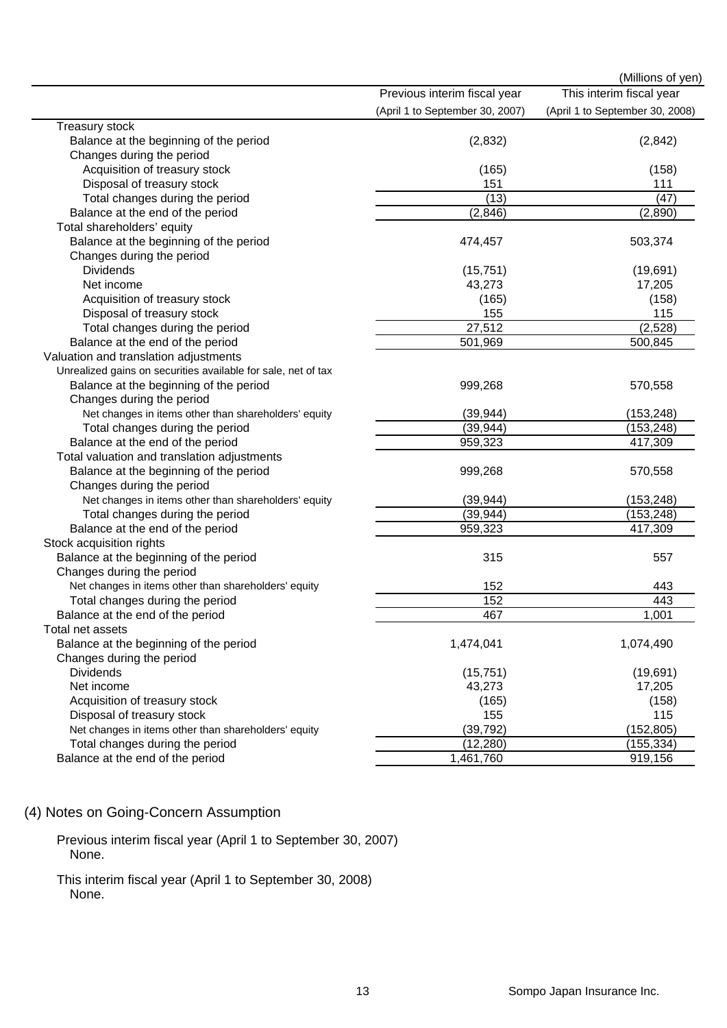|                                                               |                                 | (Millions of yen)               |
|---------------------------------------------------------------|---------------------------------|---------------------------------|
|                                                               | Previous interim fiscal year    | This interim fiscal year        |
|                                                               | (April 1 to September 30, 2007) | (April 1 to September 30, 2008) |
| Treasury stock                                                |                                 |                                 |
| Balance at the beginning of the period                        | (2,832)                         | (2,842)                         |
| Changes during the period                                     |                                 |                                 |
| Acquisition of treasury stock                                 | (165)                           | (158)                           |
| Disposal of treasury stock                                    | 151                             | 111                             |
| Total changes during the period                               | (13)                            | (47)                            |
| Balance at the end of the period                              | (2, 846)                        | (2,890)                         |
| Total shareholders' equity                                    |                                 |                                 |
| Balance at the beginning of the period                        | 474,457                         | 503,374                         |
| Changes during the period                                     |                                 |                                 |
| <b>Dividends</b>                                              | (15, 751)                       | (19,691)                        |
| Net income                                                    | 43,273                          | 17,205                          |
| Acquisition of treasury stock                                 | (165)                           | (158)                           |
| Disposal of treasury stock                                    | 155                             | 115                             |
| Total changes during the period                               | 27,512                          | (2, 528)                        |
| Balance at the end of the period                              | 501,969                         | 500,845                         |
| Valuation and translation adjustments                         |                                 |                                 |
| Unrealized gains on securities available for sale, net of tax |                                 |                                 |
| Balance at the beginning of the period                        | 999,268                         | 570,558                         |
| Changes during the period                                     |                                 |                                 |
| Net changes in items other than shareholders' equity          | (39, 944)                       | (153, 248)                      |
| Total changes during the period                               | (39, 944)                       | (153, 248)                      |
| Balance at the end of the period                              | 959,323                         | 417,309                         |
| Total valuation and translation adjustments                   |                                 |                                 |
| Balance at the beginning of the period                        | 999,268                         | 570,558                         |
| Changes during the period                                     |                                 |                                 |
| Net changes in items other than shareholders' equity          | (39, 944)                       | (153, 248)                      |
| Total changes during the period                               | (39, 944)                       | (153, 248)                      |
| Balance at the end of the period                              | 959,323                         | 417,309                         |
| Stock acquisition rights                                      |                                 |                                 |
| Balance at the beginning of the period                        | 315                             | 557                             |
| Changes during the period                                     |                                 |                                 |
| Net changes in items other than shareholders' equity          | 152                             | 443                             |
| Total changes during the period                               | 152                             | 443                             |
| Balance at the end of the period                              | 467                             | 1,001                           |
| Total net assets                                              |                                 |                                 |
| Balance at the beginning of the period                        | 1,474,041                       | 1,074,490                       |
| Changes during the period                                     |                                 |                                 |
| <b>Dividends</b>                                              | (15, 751)                       | (19, 691)                       |
| Net income                                                    | 43,273                          | 17,205                          |
| Acquisition of treasury stock                                 | (165)                           | (158)                           |
| Disposal of treasury stock                                    | 155                             | 115                             |
| Net changes in items other than shareholders' equity          | (39, 792)                       | (152, 805)                      |
| Total changes during the period                               | (12, 280)                       | (155, 334)                      |
| Balance at the end of the period                              | 1,461,760                       | 919,156                         |

### (4) Notes on Going-Concern Assumption

Previous interim fiscal year (April 1 to September 30, 2007) None.

This interim fiscal year (April 1 to September 30, 2008) None.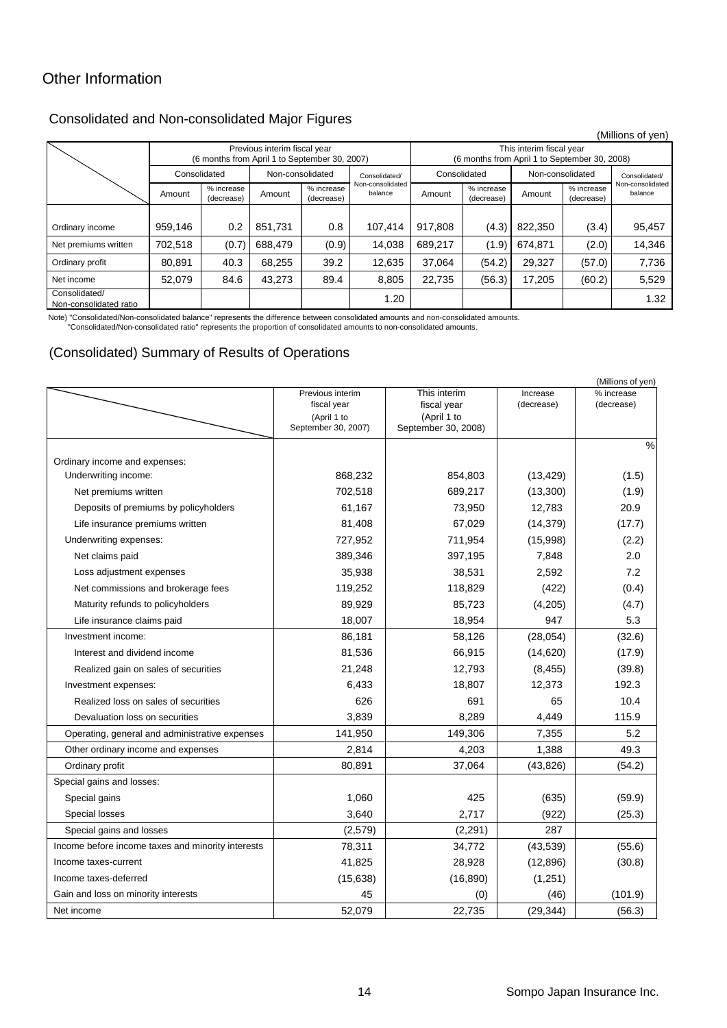### Other Information

### Consolidated and Non-consolidated Major Figures

|                                                                               |              |                          |                                                                           |                          |                             |              |                          |                  |                          | (Millions of yen)           |
|-------------------------------------------------------------------------------|--------------|--------------------------|---------------------------------------------------------------------------|--------------------------|-----------------------------|--------------|--------------------------|------------------|--------------------------|-----------------------------|
| Previous interim fiscal year<br>(6 months from April 1 to September 30, 2007) |              |                          | This interim fiscal year<br>(6 months from April 1 to September 30, 2008) |                          |                             |              |                          |                  |                          |                             |
|                                                                               | Consolidated |                          | Non-consolidated                                                          |                          | Consolidated/               | Consolidated |                          | Non-consolidated |                          | Consolidated/               |
|                                                                               | Amount       | % increase<br>(decrease) | Amount                                                                    | % increase<br>(decrease) | Non-consolidated<br>balance | Amount       | % increase<br>(decrease) | Amount           | % increase<br>(decrease) | Non-consolidated<br>balance |
|                                                                               |              |                          |                                                                           |                          |                             |              |                          |                  |                          |                             |
| Ordinary income                                                               | 959.146      | 0.2                      | 851.731                                                                   | 0.8                      | 107.414                     | 917,808      | (4.3)                    | 822,350          | (3.4)                    | 95,457                      |
| Net premiums written                                                          | 702.518      | (0.7)                    | 688,479                                                                   | (0.9)                    | 14,038                      | 689,217      | (1.9)                    | 674,871          | (2.0)                    | 14,346                      |
| Ordinary profit                                                               | 80,891       | 40.3                     | 68,255                                                                    | 39.2                     | 12,635                      | 37,064       | (54.2)                   | 29,327           | (57.0)                   | 7,736                       |
| Net income                                                                    | 52,079       | 84.6                     | 43,273                                                                    | 89.4                     | 8,805                       | 22,735       | (56.3)                   | 17,205           | (60.2)                   | 5,529                       |
| Consolidated/<br>Non-consolidated ratio                                       |              |                          |                                                                           |                          | 1.20                        |              |                          |                  |                          | 1.32                        |

Note) "Consolidated/Non-consolidated balance" represents the difference between consolidated amounts and non-consolidated amounts.

"Consolidated/Non-consolidated ratio" represents the proportion of consolidated amounts to non-consolidated amounts.

#### (Consolidated) Summary of Results of Operations

|                                                   |                            |                            |            | (Millions of yen) |
|---------------------------------------------------|----------------------------|----------------------------|------------|-------------------|
|                                                   | Previous interim           | % increase                 |            |                   |
|                                                   | fiscal year<br>(April 1 to | fiscal year<br>(April 1 to | (decrease) | (decrease)        |
|                                                   | September 30, 2007)        | September 30, 2008)        |            |                   |
|                                                   |                            |                            |            | %                 |
| Ordinary income and expenses:                     |                            |                            |            |                   |
| Underwriting income:                              | 868,232                    | 854,803                    | (13, 429)  | (1.5)             |
| Net premiums written                              | 702,518                    | 689,217                    | (13,300)   | (1.9)             |
| Deposits of premiums by policyholders             | 61,167                     | 73,950                     | 12,783     | 20.9              |
| Life insurance premiums written                   | 81,408                     | 67,029                     | (14, 379)  | (17.7)            |
| Underwriting expenses:                            | 727,952                    | 711,954                    | (15,998)   | (2.2)             |
| Net claims paid                                   | 389,346                    | 397,195                    | 7,848      | 2.0               |
| Loss adjustment expenses                          | 35,938                     | 38,531                     | 2,592      | 7.2               |
| Net commissions and brokerage fees                | 119,252                    | 118,829                    | (422)      | (0.4)             |
| Maturity refunds to policyholders                 | 89,929                     | 85,723                     | (4,205)    | (4.7)             |
| Life insurance claims paid                        | 18,007                     | 18,954                     | 947        | 5.3               |
| Investment income:                                | 86,181                     | 58,126                     | (28,054)   | (32.6)            |
| Interest and dividend income                      | 81,536                     | 66,915                     | (14, 620)  | (17.9)            |
| Realized gain on sales of securities              | 21,248                     | 12,793                     | (8, 455)   | (39.8)            |
| Investment expenses:                              | 6,433                      | 18,807                     | 12,373     | 192.3             |
| Realized loss on sales of securities              | 626                        | 691                        | 65         | 10.4              |
| Devaluation loss on securities                    | 3,839                      | 8,289                      | 4,449      | 115.9             |
| Operating, general and administrative expenses    | 141,950                    | 149,306                    | 7,355      | 5.2               |
| Other ordinary income and expenses                | 2,814                      | 4,203                      | 1,388      | 49.3              |
| Ordinary profit                                   | 80,891                     | 37,064                     | (43, 826)  | (54.2)            |
| Special gains and losses:                         |                            |                            |            |                   |
| Special gains                                     | 1,060                      | 425                        | (635)      | (59.9)            |
| Special losses                                    | 3,640                      | 2,717                      | (922)      | (25.3)            |
| Special gains and losses                          | (2,579)                    | (2, 291)                   | 287        |                   |
| Income before income taxes and minority interests | 78,311                     | 34,772                     | (43,539)   | (55.6)            |
| Income taxes-current                              | 41,825                     | 28,928                     | (12, 896)  | (30.8)            |
| Income taxes-deferred                             | (15, 638)                  | (16, 890)                  | (1,251)    |                   |
| Gain and loss on minority interests               | 45                         | (0)                        | (46)       | (101.9)           |
| Net income                                        | 52,079                     | 22,735                     | (29, 344)  | (56.3)            |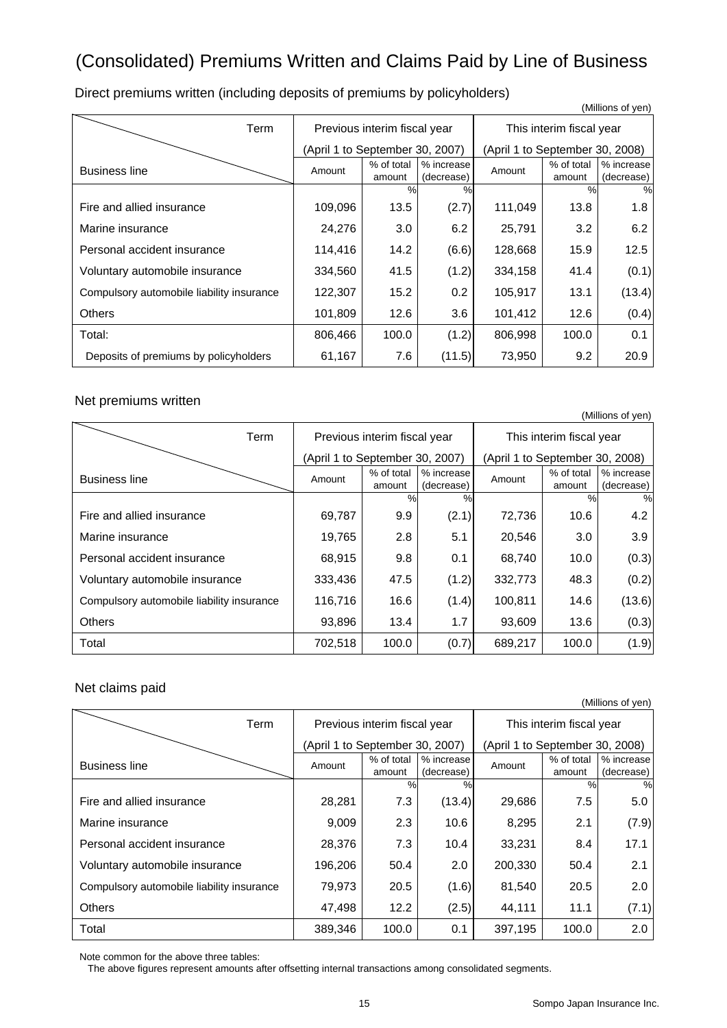## (Consolidated) Premiums Written and Claims Paid by Line of Business

Term | Previous interim fiscal year | This interim fiscal year (April 1 to September 30, 2007) (April 1 to September 30, 2008) Business line **Amount** Amount **1**% of total amount % increase (decrease) Amount % of total amount % increase (decrease) %% %% Fire and allied insurance 109,096 13.5 (2.7) 111,049 13.8 1.8 Marine insurance 24,276 3.0 6.2 25,791 3.2 6.2 Personal accident insurance 114,416 14.2 (6.6) 128,668 15.9 12.5 Voluntary automobile insurance  $\begin{vmatrix} 334,560 & 41.5 & (1.2) & 334,158 & 41.4 \end{vmatrix}$  (0.1) Compulsory automobile liability insurance  $\begin{vmatrix} 122,307 & 15.2 & 0.2 & 105,917 & 13.1 \end{vmatrix}$  (13.4) Others 101,809 12.6 3.6 101,412 12.6 (0.4) Total: 806,466 100.0 (1.2) 806,998 100.0 0.1 Deposits of premiums by policyholders  $\begin{vmatrix} 61,167 & 7.6 & (11.5) & 73,950 & 9.2 & 20.9 \end{vmatrix}$ 

Direct premiums written (including deposits of premiums by policyholders)

#### Net premiums written

|                                           |                                 |                              |                          |                                 |                      | (Millions of yen)        |
|-------------------------------------------|---------------------------------|------------------------------|--------------------------|---------------------------------|----------------------|--------------------------|
| Term                                      |                                 | Previous interim fiscal year |                          | This interim fiscal year        |                      |                          |
|                                           | (April 1 to September 30, 2007) |                              |                          | (April 1 to September 30, 2008) |                      |                          |
| <b>Business line</b>                      | Amount                          | % of total<br>amount         | % increase<br>(decrease) | Amount                          | % of total<br>amount | % increase<br>(decrease) |
|                                           |                                 | $\frac{0}{0}$                | $\%$                     |                                 | $\%$                 | %                        |
| Fire and allied insurance                 | 69,787                          | 9.9                          | (2.1)                    | 72,736                          | 10.6                 | 4.2                      |
| Marine insurance                          | 19,765                          | 2.8                          | 5.1                      | 20,546                          | 3.0                  | 3.9                      |
| Personal accident insurance               | 68,915                          | 9.8                          | 0.1                      | 68,740                          | 10.0                 | (0.3)                    |
| Voluntary automobile insurance            | 333,436                         | 47.5                         | (1.2)                    | 332,773                         | 48.3                 | (0.2)                    |
| Compulsory automobile liability insurance | 116,716                         | 16.6                         | (1.4)                    | 100,811                         | 14.6                 | (13.6)                   |
| <b>Others</b>                             | 93,896                          | 13.4                         | 1.7                      | 93,609                          | 13.6                 | (0.3)                    |
| Total                                     | 702,518                         | 100.0                        | (0.7)                    | 689,217                         | 100.0                | (1.9)                    |

#### Net claims paid

(Millions of yen)

(Millions of yen)

| Term                                      | Previous interim fiscal year    |                      |                          | This interim fiscal year        |                      |                          |
|-------------------------------------------|---------------------------------|----------------------|--------------------------|---------------------------------|----------------------|--------------------------|
|                                           | (April 1 to September 30, 2007) |                      |                          | (April 1 to September 30, 2008) |                      |                          |
| <b>Business line</b>                      | Amount                          | % of total<br>amount | % increase<br>(decrease) | Amount                          | % of total<br>amount | % increase<br>(decrease) |
|                                           |                                 | %                    | $\frac{0}{0}$            |                                 | $\frac{0}{0}$        | %                        |
| Fire and allied insurance                 | 28,281                          | 7.3                  | (13.4)                   | 29,686                          | 7.5                  | 5.0                      |
| Marine insurance                          | 9,009                           | 2.3                  | 10.6                     | 8,295                           | 2.1                  | (7.9)                    |
| Personal accident insurance               | 28,376                          | 7.3                  | 10.4                     | 33,231                          | 8.4                  | 17.1                     |
| Voluntary automobile insurance            | 196,206                         | 50.4                 | 2.0                      | 200,330                         | 50.4                 | 2.1                      |
| Compulsory automobile liability insurance | 79,973                          | 20.5                 | (1.6)                    | 81,540                          | 20.5                 | 2.0                      |
| <b>Others</b>                             | 47,498                          | 12.2                 | (2.5)                    | 44,111                          | 11.1                 | (7.1)                    |
| Total                                     | 389,346                         | 100.0                | 0.1                      | 397,195                         | 100.0                | 2.0                      |

Note common for the above three tables:

The above figures represent amounts after offsetting internal transactions among consolidated segments.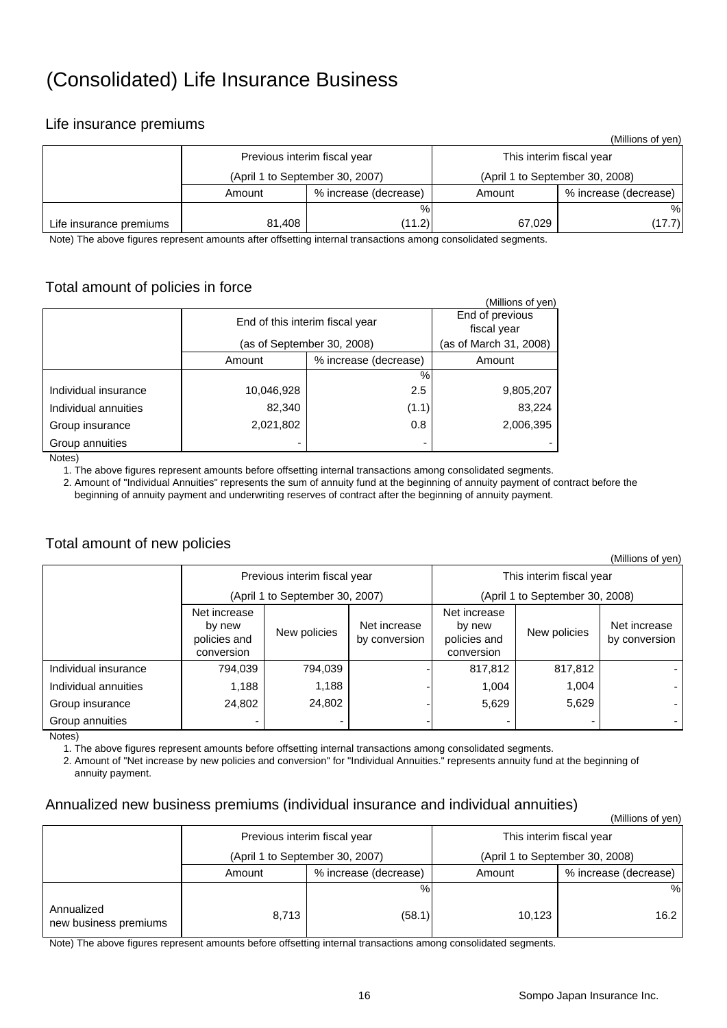## (Consolidated) Life Insurance Business

#### Life insurance premiums

|                         |                                 |                       |                                 | (Millions of yen)     |  |
|-------------------------|---------------------------------|-----------------------|---------------------------------|-----------------------|--|
|                         | Previous interim fiscal year    |                       | This interim fiscal year        |                       |  |
|                         | (April 1 to September 30, 2007) |                       | (April 1 to September 30, 2008) |                       |  |
|                         | Amount                          | % increase (decrease) | Amount                          | % increase (decrease) |  |
|                         |                                 | %                     |                                 | %                     |  |
| Life insurance premiums | 81,408                          | (11.2)                | 67,029                          | (17.7)                |  |

Note) The above figures represent amounts after offsetting internal transactions among consolidated segments.

### Total amount of policies in force

|                      |                                 |                                | (Millions of yen)      |  |  |  |
|----------------------|---------------------------------|--------------------------------|------------------------|--|--|--|
|                      | End of this interim fiscal year | End of previous<br>fiscal year |                        |  |  |  |
|                      |                                 | (as of September 30, 2008)     | (as of March 31, 2008) |  |  |  |
|                      | Amount                          | % increase (decrease)          | Amount                 |  |  |  |
|                      |                                 | %                              |                        |  |  |  |
| Individual insurance | 10,046,928                      | 2.5                            | 9,805,207              |  |  |  |
| Individual annuities | 82,340                          | (1.1)                          | 83,224                 |  |  |  |
| Group insurance      | 2,021,802                       | 0.8                            | 2,006,395              |  |  |  |
| Group annuities      |                                 |                                |                        |  |  |  |
| N <sub>0</sub>       |                                 |                                |                        |  |  |  |

Notes)

1. The above figures represent amounts before offsetting internal transactions among consolidated segments.

 2. Amount of "Individual Annuities" represents the sum of annuity fund at the beginning of annuity payment of contract before the beginning of annuity payment and underwriting reserves of contract after the beginning of annuity payment.

#### Total amount of new policies

|                      |                                                      |                                 |                               |                                                      |              | (Millions of yen)             |  |
|----------------------|------------------------------------------------------|---------------------------------|-------------------------------|------------------------------------------------------|--------------|-------------------------------|--|
|                      |                                                      | Previous interim fiscal year    |                               | This interim fiscal year                             |              |                               |  |
|                      |                                                      | (April 1 to September 30, 2007) |                               | (April 1 to September 30, 2008)                      |              |                               |  |
|                      | Net increase<br>by new<br>policies and<br>conversion | New policies                    | Net increase<br>by conversion | Net increase<br>by new<br>policies and<br>conversion | New policies | Net increase<br>by conversion |  |
| Individual insurance | 794,039                                              | 794,039                         |                               | 817,812                                              | 817,812      |                               |  |
| Individual annuities | 1,188                                                | 1,188                           |                               | 1,004                                                | 1,004        |                               |  |
| Group insurance      | 24,802                                               | 24,802                          |                               | 5,629                                                | 5,629        |                               |  |
| Group annuities      |                                                      |                                 |                               | -                                                    |              |                               |  |

Notes)

1. The above figures represent amounts before offsetting internal transactions among consolidated segments.

 2. Amount of "Net increase by new policies and conversion" for "Individual Annuities." represents annuity fund at the beginning of annuity payment.

#### Annualized new business premiums (individual insurance and individual annuities)

|                                     |                                 |                              |                                 | (Millions of yen)     |  |
|-------------------------------------|---------------------------------|------------------------------|---------------------------------|-----------------------|--|
|                                     |                                 | Previous interim fiscal year | This interim fiscal year        |                       |  |
|                                     | (April 1 to September 30, 2007) |                              | (April 1 to September 30, 2008) |                       |  |
|                                     | % increase (decrease)<br>Amount |                              | Amount                          | % increase (decrease) |  |
|                                     |                                 | %                            |                                 | %                     |  |
| Annualized<br>new business premiums | 8,713                           | (58.1)                       | 10,123                          | 16.2                  |  |

Note) The above figures represent amounts before offsetting internal transactions among consolidated segments.

#### 16 Sompo Japan Insurance Inc.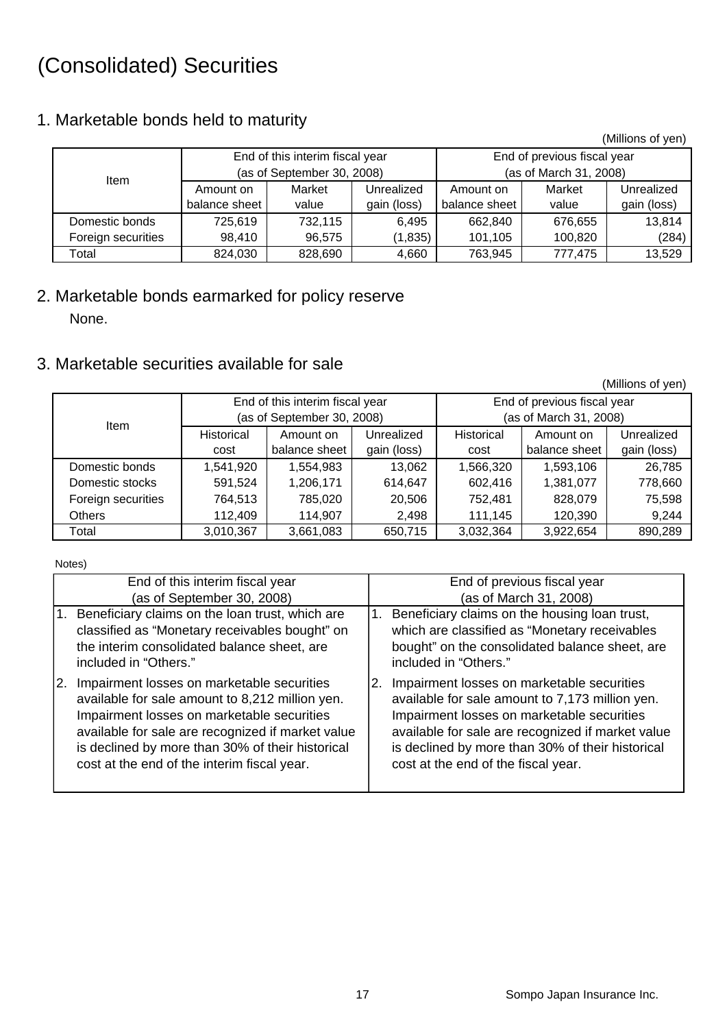## (Consolidated) Securities

## 1. Marketable bonds held to maturity

(Millions of yen)

|                    | End of this interim fiscal year |         |             | End of previous fiscal year |         |             |  |
|--------------------|---------------------------------|---------|-------------|-----------------------------|---------|-------------|--|
| <b>Item</b>        | (as of September 30, 2008)      |         |             | (as of March 31, 2008)      |         |             |  |
|                    | Amount on                       | Market  | Unrealized  | Amount on                   | Market  | Unrealized  |  |
|                    | balance sheet                   | value   | gain (loss) | balance sheet               | value   | gain (loss) |  |
| Domestic bonds     | 725.619                         | 732,115 | 6,495       | 662,840                     | 676,655 | 13,814      |  |
| Foreign securities | 98,410                          | 96,575  | (1, 835)    | 101,105                     | 100,820 | (284)       |  |
| Total              | 824,030                         | 828,690 | 4,660       | 763,945                     | 777,475 | 13,529      |  |

## 2. Marketable bonds earmarked for policy reserve None.

## 3. Marketable securities available for sale

|                    |                                                                   |                                 |             |            |                             | (Millions of yen) |  |  |
|--------------------|-------------------------------------------------------------------|---------------------------------|-------------|------------|-----------------------------|-------------------|--|--|
|                    |                                                                   | End of this interim fiscal year |             |            | End of previous fiscal year |                   |  |  |
| <b>Item</b>        |                                                                   | (as of September 30, 2008)      |             |            | (as of March 31, 2008)      |                   |  |  |
|                    | Historical                                                        | Amount on                       | Unrealized  | Historical | Amount on                   | Unrealized        |  |  |
|                    | cost                                                              | balance sheet                   | gain (loss) | cost       | balance sheet               | gain (loss)       |  |  |
| Domestic bonds     | 1,541,920<br>1,554,983<br>Domestic stocks<br>591,524<br>1,206,171 |                                 | 13,062      | 1,566,320  | 1,593,106                   | 26,785            |  |  |
|                    |                                                                   |                                 | 614,647     | 602,416    | 1,381,077                   | 778,660           |  |  |
| Foreign securities | 764,513                                                           | 785,020                         | 20,506      | 752.481    | 828,079                     | 75,598            |  |  |
| <b>Others</b>      | 112.409<br>114.907                                                |                                 | 2,498       | 111.145    | 120,390                     | 9,244             |  |  |
| Total              | 3,010,367                                                         | 3,661,083                       | 650,715     | 3,032,364  | 3,922,654                   | 890,289           |  |  |

#### Notes)

|                  | End of this interim fiscal year                                                                                                                                                                                                                                                                     |    | End of previous fiscal year                                                                                                                                                                                                                                                                 |
|------------------|-----------------------------------------------------------------------------------------------------------------------------------------------------------------------------------------------------------------------------------------------------------------------------------------------------|----|---------------------------------------------------------------------------------------------------------------------------------------------------------------------------------------------------------------------------------------------------------------------------------------------|
|                  | (as of September 30, 2008)                                                                                                                                                                                                                                                                          |    | (as of March 31, 2008)                                                                                                                                                                                                                                                                      |
| $\overline{1}$ . | Beneficiary claims on the loan trust, which are<br>classified as "Monetary receivables bought" on<br>the interim consolidated balance sheet, are<br>included in "Others."                                                                                                                           | 1. | Beneficiary claims on the housing loan trust,<br>which are classified as "Monetary receivables<br>bought" on the consolidated balance sheet, are<br>included in "Others."                                                                                                                   |
| 2.               | Impairment losses on marketable securities<br>available for sale amount to 8,212 million yen.<br>Impairment losses on marketable securities<br>available for sale are recognized if market value<br>is declined by more than 30% of their historical<br>cost at the end of the interim fiscal year. | 2. | Impairment losses on marketable securities<br>available for sale amount to 7,173 million yen.<br>Impairment losses on marketable securities<br>available for sale are recognized if market value<br>is declined by more than 30% of their historical<br>cost at the end of the fiscal year. |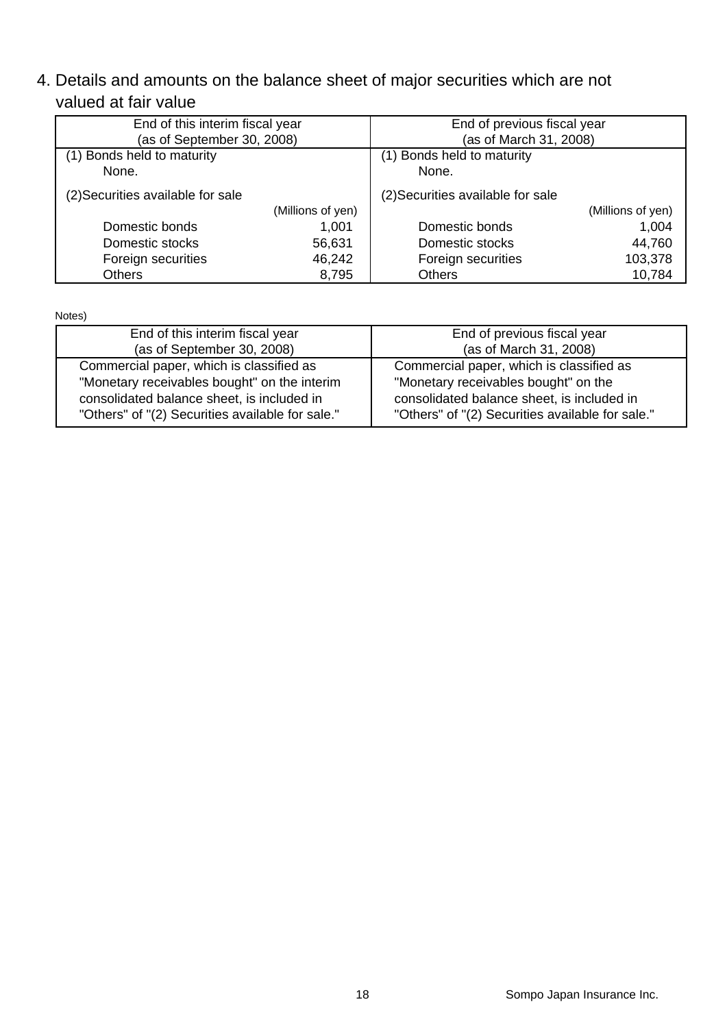4. Details and amounts on the balance sheet of major securities which are not valued at fair value

| End of this interim fiscal year   |                   | End of previous fiscal year       |                   |  |
|-----------------------------------|-------------------|-----------------------------------|-------------------|--|
| (as of September 30, 2008)        |                   | (as of March 31, 2008)            |                   |  |
| (1) Bonds held to maturity        |                   | (1) Bonds held to maturity        |                   |  |
| None.                             |                   | None.                             |                   |  |
| (2) Securities available for sale |                   | (2) Securities available for sale |                   |  |
|                                   | (Millions of yen) |                                   | (Millions of yen) |  |
| Domestic bonds                    | 1,001             | Domestic bonds                    | 1,004             |  |
| Domestic stocks                   | 56,631            | Domestic stocks                   | 44,760            |  |
| Foreign securities                | 46,242            | Foreign securities                | 103,378           |  |
| <b>Others</b>                     | 8,795             | Others                            | 10,784            |  |

Notes)

| End of this interim fiscal year                  | End of previous fiscal year                      |
|--------------------------------------------------|--------------------------------------------------|
| (as of September 30, 2008)                       | (as of March 31, 2008)                           |
| Commercial paper, which is classified as         | Commercial paper, which is classified as         |
| "Monetary receivables bought" on the interim     | "Monetary receivables bought" on the             |
| consolidated balance sheet, is included in       | consolidated balance sheet, is included in       |
| "Others" of "(2) Securities available for sale." | "Others" of "(2) Securities available for sale." |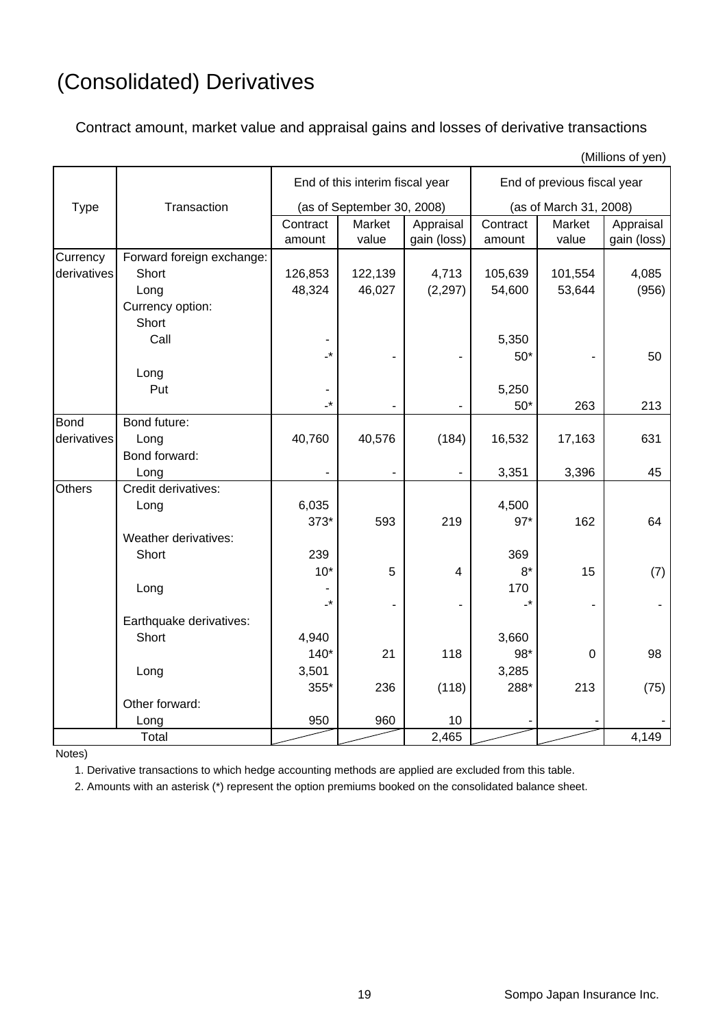# (Consolidated) Derivatives

Contract amount, market value and appraisal gains and losses of derivative transactions

|               |                           |                    |                                 |                          |                             |                        | (Millions of yen)        |  |
|---------------|---------------------------|--------------------|---------------------------------|--------------------------|-----------------------------|------------------------|--------------------------|--|
|               |                           |                    | End of this interim fiscal year |                          | End of previous fiscal year |                        |                          |  |
| <b>Type</b>   | Transaction               |                    | (as of September 30, 2008)      |                          |                             | (as of March 31, 2008) |                          |  |
|               |                           | Contract<br>amount | Market<br>value                 | Appraisal<br>gain (loss) | Contract<br>amount          | Market<br>value        | Appraisal<br>gain (loss) |  |
| Currency      | Forward foreign exchange: |                    |                                 |                          |                             |                        |                          |  |
| derivatives   | Short                     | 126,853            | 122,139                         | 4,713                    | 105,639                     | 101,554                | 4,085                    |  |
|               | Long                      | 48,324             | 46,027                          | (2, 297)                 | 54,600                      | 53,644                 | (956)                    |  |
|               | Currency option:          |                    |                                 |                          |                             |                        |                          |  |
|               | Short                     |                    |                                 |                          |                             |                        |                          |  |
|               | Call                      |                    |                                 |                          | 5,350                       |                        |                          |  |
|               |                           | $\cdot^*$          |                                 |                          | $50*$                       |                        | 50                       |  |
|               | Long                      |                    |                                 |                          |                             |                        |                          |  |
|               | Put                       |                    |                                 |                          | 5,250                       |                        |                          |  |
|               |                           | -*                 |                                 |                          | $50*$                       | 263                    | 213                      |  |
| <b>Bond</b>   | Bond future:              |                    |                                 |                          |                             |                        |                          |  |
| derivatives   | Long                      | 40,760             | 40,576                          | (184)                    | 16,532                      | 17,163                 | 631                      |  |
|               | Bond forward:             |                    |                                 |                          |                             |                        |                          |  |
|               | Long                      |                    | ۰                               | $\overline{\phantom{0}}$ | 3,351                       | 3,396                  | 45                       |  |
| <b>Others</b> | Credit derivatives:       |                    |                                 |                          |                             |                        |                          |  |
|               | Long                      | 6,035              |                                 |                          | 4,500                       |                        |                          |  |
|               |                           | $373*$             | 593                             | 219                      | $97*$                       | 162                    | 64                       |  |
|               | Weather derivatives:      |                    |                                 |                          |                             |                        |                          |  |
|               | Short                     | 239                |                                 |                          | 369                         |                        |                          |  |
|               |                           | $10*$              | 5                               | $\overline{4}$           | $8*$                        | 15                     | (7)                      |  |
|               | Long                      |                    |                                 |                          | 170                         |                        |                          |  |
|               |                           | -*                 |                                 |                          | -*                          |                        |                          |  |
|               | Earthquake derivatives:   |                    |                                 |                          |                             |                        |                          |  |
|               | Short                     | 4,940              |                                 |                          | 3,660                       |                        |                          |  |
|               |                           | $140*$             | 21                              | 118                      | 98*                         | $\overline{0}$         | 98                       |  |
|               | Long                      | 3,501              |                                 |                          | 3,285                       |                        |                          |  |
|               |                           | 355*               | 236                             | (118)                    | 288*                        | 213                    | (75)                     |  |
|               | Other forward:            |                    |                                 |                          |                             |                        |                          |  |
|               | Long                      | 950                | 960                             | $10$                     |                             |                        |                          |  |
|               | Total                     |                    |                                 | 2,465                    |                             |                        | 4,149                    |  |

Notes)

1. Derivative transactions to which hedge accounting methods are applied are excluded from this table.

2. Amounts with an asterisk (\*) represent the option premiums booked on the consolidated balance sheet.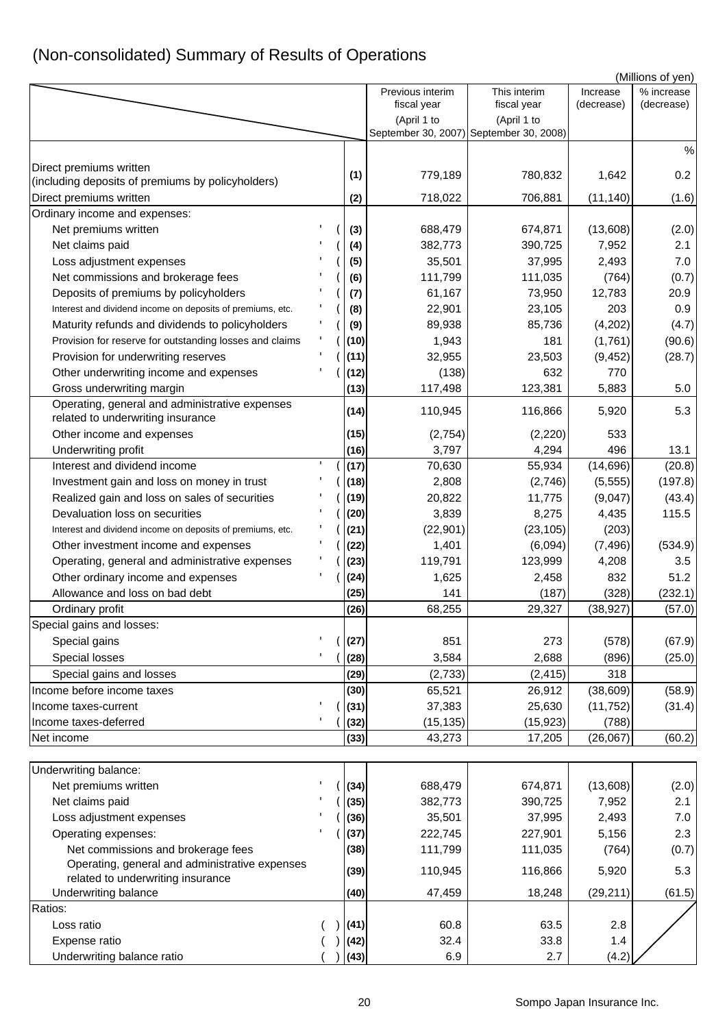## (Non-consolidated) Summary of Results of Operations

|                                                                                      |              |                    |                                                        |                | (Millions of yen) |
|--------------------------------------------------------------------------------------|--------------|--------------------|--------------------------------------------------------|----------------|-------------------|
|                                                                                      |              | Previous interim   | This interim                                           | Increase       | % increase        |
|                                                                                      |              | fiscal year        | fiscal year                                            | (decrease)     | (decrease)        |
|                                                                                      |              | (April 1 to        | (April 1 to<br>September 30, 2007) September 30, 2008) |                |                   |
|                                                                                      |              |                    |                                                        |                | $\%$              |
| Direct premiums written                                                              |              |                    |                                                        |                |                   |
| (including deposits of premiums by policyholders)                                    | (1)          | 779,189            | 780,832                                                | 1,642          | 0.2               |
| Direct premiums written                                                              | (2)          | 718,022            | 706,881                                                | (11, 140)      | (1.6)             |
| Ordinary income and expenses:                                                        |              |                    |                                                        |                |                   |
| Net premiums written                                                                 | (3)          | 688,479            | 674,871                                                | (13,608)       | (2.0)             |
| Net claims paid                                                                      | (4)          | 382,773            | 390,725                                                | 7,952          | 2.1               |
| Loss adjustment expenses                                                             | (5)          | 35,501             | 37,995                                                 | 2,493          | 7.0               |
| Net commissions and brokerage fees                                                   | (6)          | 111,799            | 111,035                                                | (764)          | (0.7)             |
| Deposits of premiums by policyholders                                                | (7)          | 61,167             | 73,950                                                 | 12,783         | 20.9              |
| Interest and dividend income on deposits of premiums, etc.                           | (8)          | 22,901             | 23,105                                                 | 203            | 0.9               |
| Maturity refunds and dividends to policyholders                                      | (9)          | 89,938             | 85,736                                                 | (4,202)        | (4.7)             |
| Provision for reserve for outstanding losses and claims                              | (10)         | 1,943              | 181                                                    | (1,761)        | (90.6)            |
| Provision for underwriting reserves                                                  | (11)         | 32,955             | 23,503                                                 | (9, 452)       | (28.7)            |
| Other underwriting income and expenses                                               | (12)         | (138)              | 632                                                    | 770            |                   |
| Gross underwriting margin                                                            | (13)         | 117,498            | 123,381                                                | 5,883          | 5.0               |
| Operating, general and administrative expenses<br>related to underwriting insurance  | (14)         | 110,945            | 116,866                                                | 5,920          | 5.3               |
| Other income and expenses                                                            | (15)         | (2,754)            | (2,220)                                                | 533            |                   |
| Underwriting profit                                                                  | (16)         | 3,797              | 4,294                                                  | 496            | 13.1              |
| Interest and dividend income                                                         | (17)         | 70,630             | 55,934                                                 | (14, 696)      | (20.8)            |
| Investment gain and loss on money in trust                                           | (18)         | 2,808              | (2,746)                                                | (5, 555)       | (197.8)           |
| Realized gain and loss on sales of securities                                        | (19)         | 20,822             | 11,775                                                 | (9,047)        | (43.4)            |
| Devaluation loss on securities                                                       | (20)         | 3,839              | 8,275                                                  | 4,435          | 115.5             |
| Interest and dividend income on deposits of premiums, etc.                           | (21)         | (22, 901)          | (23, 105)                                              | (203)          |                   |
| Other investment income and expenses                                                 | (22)         | 1,401              | (6,094)                                                | (7, 496)       | (534.9)           |
| Operating, general and administrative expenses                                       | (23)         | 119,791            | 123,999                                                | 4,208          | 3.5               |
| Other ordinary income and expenses                                                   | (24)         | 1,625              | 2,458                                                  | 832            | 51.2              |
| Allowance and loss on bad debt                                                       | (25)         | 141                | (187)                                                  | (328)          | (232.1)           |
| Ordinary profit                                                                      | (26)         | 68,255             | 29,327                                                 | (38, 927)      | (57.0)            |
| Special gains and losses:                                                            |              |                    |                                                        |                |                   |
| Special gains                                                                        | (27)         | 851                | 273                                                    | (578)          | (67.9)            |
| Special losses                                                                       | (28)         | 3,584              | 2,688                                                  | (896)          | (25.0)            |
| Special gains and losses                                                             | (29)         | (2,733)            | (2, 415)                                               | 318            |                   |
| Income before income taxes                                                           | (30)         | 65,521             | 26,912                                                 | (38, 609)      | (58.9)            |
| Income taxes-current                                                                 | (31)         | 37,383             | 25,630                                                 | (11, 752)      | (31.4)            |
| Income taxes-deferred                                                                | (32)         | (15, 135)          | (15, 923)                                              | (788)          |                   |
| Net income                                                                           | (33)         | 43,273             | 17,205                                                 | (26,067)       | (60.2)            |
|                                                                                      |              |                    |                                                        |                |                   |
| Underwriting balance:                                                                |              |                    |                                                        |                |                   |
| Net premiums written                                                                 | (34)         | 688,479<br>382,773 | 674,871                                                | (13,608)       | (2.0)<br>2.1      |
| Net claims paid                                                                      | (35)         | 35,501             | 390,725<br>37,995                                      | 7,952<br>2,493 | 7.0               |
| Loss adjustment expenses                                                             | (36)<br>(37) | 222,745            |                                                        | 5,156          | 2.3               |
| Operating expenses:                                                                  | (38)         |                    | 227,901                                                |                |                   |
| Net commissions and brokerage fees<br>Operating, general and administrative expenses |              | 111,799            | 111,035                                                | (764)          | (0.7)             |
| related to underwriting insurance                                                    | (39)         | 110,945            | 116,866                                                | 5,920          | 5.3               |
| <b>Underwriting balance</b>                                                          | (40)         | 47,459             | 18,248                                                 | (29, 211)      | (61.5)            |
| Ratios:                                                                              |              |                    |                                                        |                |                   |
| Loss ratio                                                                           | (41)         | 60.8               | 63.5                                                   | 2.8            |                   |
| Expense ratio                                                                        | (42)         | 32.4               | 33.8                                                   | 1.4            |                   |
| Underwriting balance ratio                                                           | (43)         | 6.9                | 2.7                                                    | (4.2)          |                   |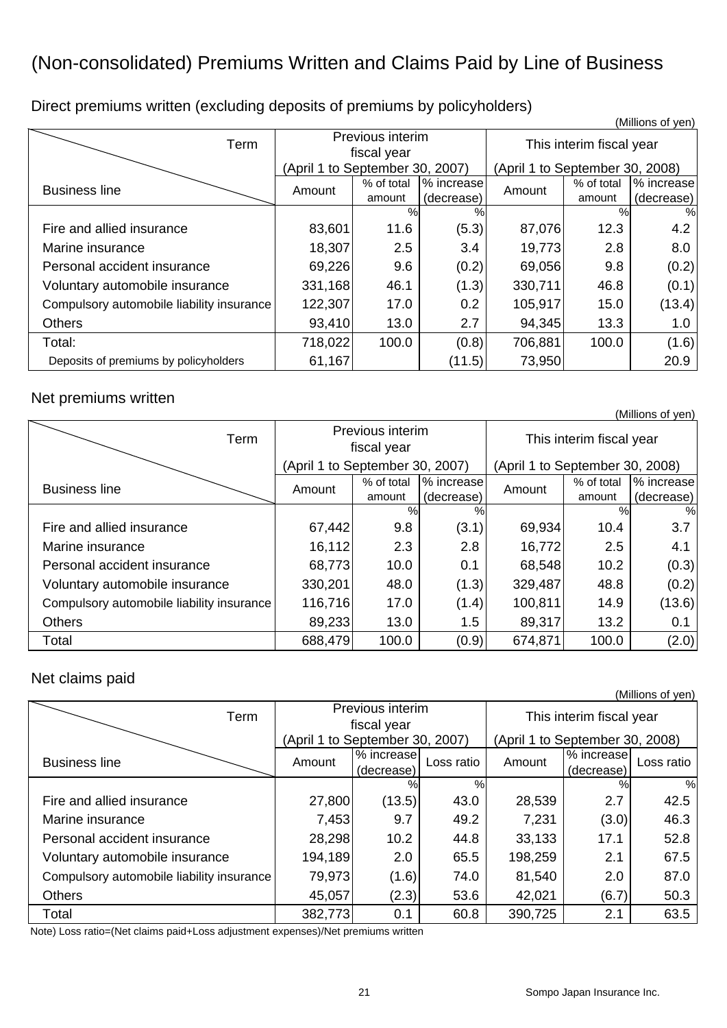## (Non-consolidated) Premiums Written and Claims Paid by Line of Business

|                                           |                                 |            |            |                                 |            | ווטערט נוטוווויזון, |
|-------------------------------------------|---------------------------------|------------|------------|---------------------------------|------------|---------------------|
| Term                                      | Previous interim<br>fiscal year |            |            | This interim fiscal year        |            |                     |
|                                           | (April 1 to September 30, 2007) |            |            | (April 1 to September 30, 2008) |            |                     |
| <b>Business line</b>                      | Amount                          | % of total | % increase | Amount                          | % of total | % increase          |
|                                           |                                 | amount     | (decrease) |                                 | amount     | (decrease)          |
|                                           |                                 | $\%$       | $\%$       |                                 | $\%$       | $\%$                |
| Fire and allied insurance                 | 83,601                          | 11.6       | (5.3)      | 87,076                          | 12.3       | 4.2                 |
| Marine insurance                          | 18,307                          | 2.5        | 3.4        | 19,773                          | 2.8        | 8.0                 |
| Personal accident insurance               | 69,226                          | 9.6        | (0.2)      | 69,056                          | 9.8        | (0.2)               |
| Voluntary automobile insurance            | 331,168                         | 46.1       | (1.3)      | 330,711                         | 46.8       | (0.1)               |
| Compulsory automobile liability insurance | 122,307                         | 17.0       | 0.2        | 105,917                         | 15.0       | (13.4)              |
| <b>Others</b>                             | 93,410                          | 13.0       | 2.7        | 94,345                          | 13.3       | 1.0                 |
| Total:                                    | 718,022                         | 100.0      | (0.8)      | 706,881                         | 100.0      | (1.6)               |
| Deposits of premiums by policyholders     | 61,167                          |            | (11.5)     | 73,950                          |            | 20.9                |

Direct premiums written (excluding deposits of premiums by policyholders) (Millions of yen)

# Net premiums written (Millions of yen)

| Term                                      | Previous interim<br>fiscal year |                      |                          | , וייט שווטווייזיין<br>This interim fiscal year |                      |                          |  |
|-------------------------------------------|---------------------------------|----------------------|--------------------------|-------------------------------------------------|----------------------|--------------------------|--|
|                                           | (April 1 to September 30, 2007) |                      |                          | (April 1 to September 30, 2008)                 |                      |                          |  |
| <b>Business line</b>                      | Amount                          | % of total<br>amount | % increase<br>(decrease) | Amount                                          | % of total<br>amount | % increase<br>(decrease) |  |
|                                           |                                 | %                    | %                        |                                                 | %                    | %                        |  |
| Fire and allied insurance                 | 67,442                          | 9.8                  | (3.1)                    | 69,934                                          | 10.4                 | 3.7                      |  |
| Marine insurance                          | 16,112                          | 2.3                  | 2.8                      | 16,772                                          | 2.5                  | 4.1                      |  |
| Personal accident insurance               | 68,773                          | 10.0                 | 0.1                      | 68,548                                          | 10.2                 | (0.3)                    |  |
| Voluntary automobile insurance            | 330,201                         | 48.0                 | (1.3)                    | 329,487                                         | 48.8                 | (0.2)                    |  |
| Compulsory automobile liability insurance | 116,716                         | 17.0                 | (1.4)                    | 100,811                                         | 14.9                 | (13.6)                   |  |
| Others                                    | 89,233                          | 13.0                 | $1.5\,$                  | 89,317                                          | 13.2                 | 0.1                      |  |
| Total                                     | 688,479                         | 100.0                | (0.9)                    | 674,871                                         | 100.0                | (2.0)                    |  |

# Net claims paid (Millions of yen)

| Term                                      | Previous interim                |                          |            | This interim fiscal year        |                          |               |  |
|-------------------------------------------|---------------------------------|--------------------------|------------|---------------------------------|--------------------------|---------------|--|
|                                           | (April 1 to September 30, 2007) | fiscal year              |            | (April 1 to September 30, 2008) |                          |               |  |
| <b>Business line</b>                      | Amount                          | % increase<br>(decrease) | Loss ratio | Amount                          | % increase<br>(decrease) | Loss ratio    |  |
|                                           |                                 | %                        | %          |                                 | $\%$                     | $\frac{0}{0}$ |  |
| Fire and allied insurance                 | 27,800                          | (13.5)                   | 43.0       | 28,539                          | 2.7                      | 42.5          |  |
| Marine insurance                          | 7,453                           | 9.7                      | 49.2       | 7,231                           | (3.0)                    | 46.3          |  |
| Personal accident insurance               | 28,298                          | 10.2                     | 44.8       | 33,133                          | 17.1                     | 52.8          |  |
| Voluntary automobile insurance            | 194,189                         | 2.0                      | 65.5       | 198,259                         | 2.1                      | 67.5          |  |
| Compulsory automobile liability insurance | 79,973                          | (1.6)                    | 74.0       | 81,540                          | 2.0                      | 87.0          |  |
| <b>Others</b>                             | 45,057                          | (2.3)                    | 53.6       | 42,021                          | (6.7)                    | 50.3          |  |
| Total                                     | 382,773                         | 0.1                      | 60.8       | 390,725                         | 2.1                      | 63.5          |  |

Note) Loss ratio=(Net claims paid+Loss adjustment expenses)/Net premiums written

21 Sompo Japan Insurance Inc.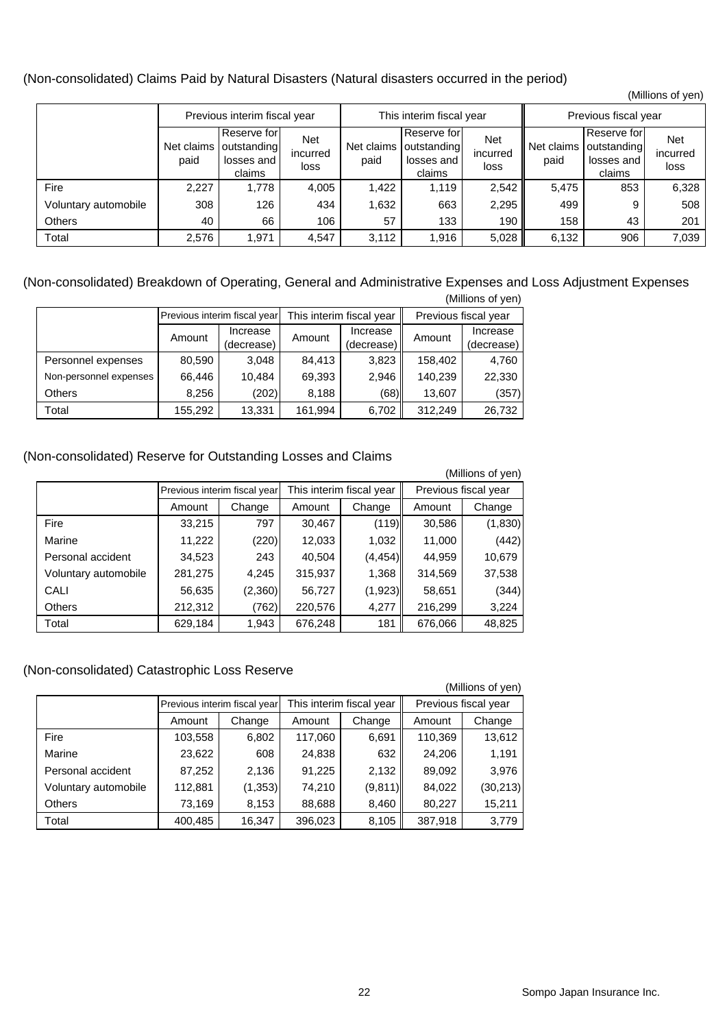(Non-consolidated) Claims Paid by Natural Disasters (Natural disasters occurred in the period)

|                      |                    |                                                    |                                |                          |                                                     |                                |                      |                                                    | (Millions of yen)       |
|----------------------|--------------------|----------------------------------------------------|--------------------------------|--------------------------|-----------------------------------------------------|--------------------------------|----------------------|----------------------------------------------------|-------------------------|
|                      |                    | Previous interim fiscal year                       |                                | This interim fiscal year |                                                     |                                | Previous fiscal year |                                                    |                         |
|                      | Net claims<br>paid | Reserve for<br>outstanding<br>losses and<br>claims | <b>Net</b><br>incurred<br>loss | Net claims<br>paid       | Reserve for<br>loutstanding<br>losses and<br>claims | <b>Net</b><br>incurred<br>loss | Net claims<br>paid   | Reserve for<br>outstanding<br>losses and<br>claims | Net<br>incurred<br>loss |
| Fire                 | 2,227              | 1,778                                              | 4,005                          | 1,422                    | 1,119                                               | 2,542                          | 5,475                | 853                                                | 6,328                   |
| Voluntary automobile | 308                | 126                                                | 434                            | 1,632                    | 663                                                 | 2,295                          | 499                  | 9                                                  | 508                     |
| <b>Others</b>        | 40                 | 66                                                 | 106                            | 57                       | 133                                                 | 190                            | 158                  | 43                                                 | 201                     |
| Total                | 2,576              | 1,971                                              | 4,547                          | 3,112                    | 1,916                                               | 5,028                          | 6,132                | 906                                                | 7,039                   |

#### (Non-consolidated) Breakdown of Operating, General and Administrative Expenses and Loss Adjustment Expenses (Millions of yen)

| $\overline{\text{S}}$ in $\overline{\text{S}}$ in $\overline{\text{S}}$ in $\overline{\text{S}}$ |                              |            |         |                          |                      |            |          |  |
|--------------------------------------------------------------------------------------------------|------------------------------|------------|---------|--------------------------|----------------------|------------|----------|--|
|                                                                                                  | Previous interim fiscal year |            |         | This interim fiscal year | Previous fiscal year |            |          |  |
|                                                                                                  | Amount                       | Increase   |         | Amount                   | Increase             | Amount     | Increase |  |
|                                                                                                  |                              | (decrease) |         | (decrease)               |                      | (decrease) |          |  |
| Personnel expenses                                                                               | 80,590                       | 3,048      | 84.413  | 3,823                    | 158,402              | 4,760      |          |  |
| Non-personnel expenses                                                                           | 66,446                       | 10,484     | 69,393  | 2,946                    | 140,239              | 22,330     |          |  |
| <b>Others</b>                                                                                    | 8.256                        | (202)      | 8,188   | (68)                     | 13,607               | (357)      |          |  |
| Total                                                                                            | 155,292                      | 13,331     | 161,994 | 6,702                    | 312,249              | 26,732     |          |  |

#### (Non-consolidated) Reserve for Outstanding Losses and Claims

|                      |         |                              |         |                          |                      | (Millions of yen) |  |
|----------------------|---------|------------------------------|---------|--------------------------|----------------------|-------------------|--|
|                      |         | Previous interim fiscal year |         | This interim fiscal year | Previous fiscal year |                   |  |
|                      | Amount  | Change                       | Amount  | Change                   | Amount               | Change            |  |
| Fire                 | 33,215  | 797                          | 30,467  | (119)                    | 30,586               | (1,830)           |  |
| Marine               | 11,222  | (220)                        | 12,033  | 1,032                    | 11,000               | (442)             |  |
| Personal accident    | 34,523  | 243                          | 40,504  | (4, 454)                 | 44,959               | 10,679            |  |
| Voluntary automobile | 281,275 | 4,245                        | 315,937 | 1,368                    | 314,569              | 37,538            |  |
| CALI                 | 56,635  | (2,360)                      | 56,727  | (1,923)                  | 58,651               | (344)             |  |
| <b>Others</b>        | 212,312 | (762)                        | 220,576 | 4,277                    | 216,299              | 3,224             |  |
| Total                | 629,184 | 1,943                        | 676,248 | 181                      | 676,066              | 48,825            |  |

#### (Non-consolidated) Catastrophic Loss Reserve

(Millions of yen)

|                      | Previous interim fiscal year |          | This interim fiscal year |          | Previous fiscal year |           |
|----------------------|------------------------------|----------|--------------------------|----------|----------------------|-----------|
|                      | Amount                       | Change   | Amount                   | Change   | Amount               | Change    |
| Fire                 | 103,558                      | 6,802    | 117,060                  | 6,691    | 110,369              | 13,612    |
| Marine               | 23,622                       | 608      | 24,838                   | 632      | 24,206               | 1,191     |
| Personal accident    | 87,252                       | 2,136    | 91,225                   | 2,132    | 89,092               | 3,976     |
| Voluntary automobile | 112,881                      | (1, 353) | 74,210                   | (9, 811) | 84,022               | (30, 213) |
| <b>Others</b>        | 73,169                       | 8,153    | 88,688                   | 8,460    | 80,227               | 15,211    |
| Total                | 400,485                      | 16,347   | 396,023                  | 8,105    | 387,918              | 3,779     |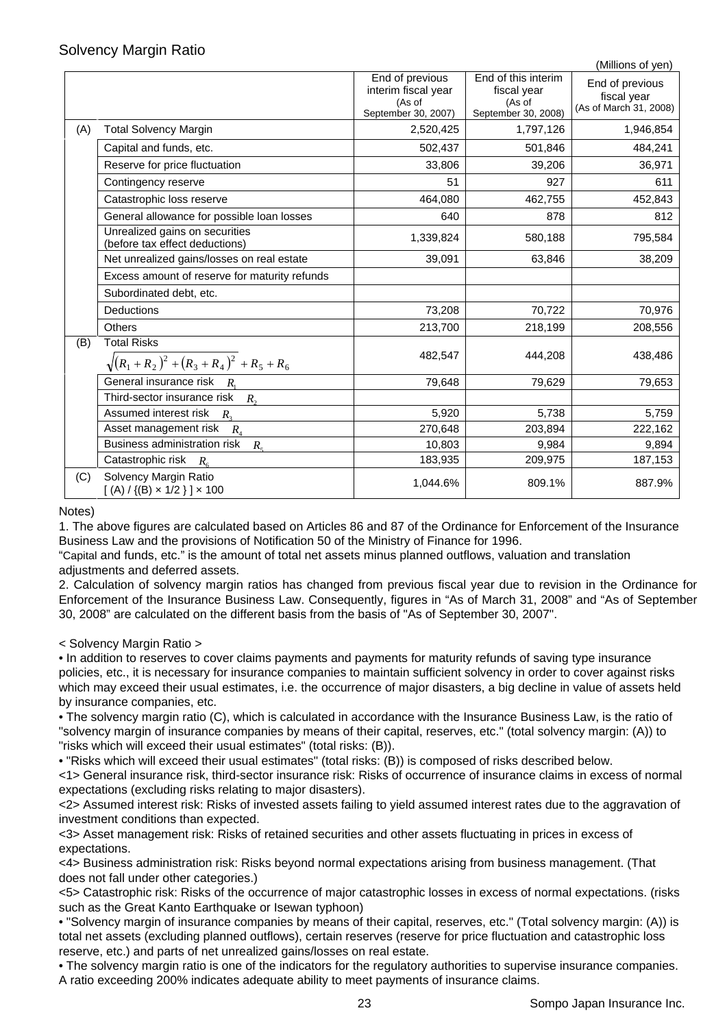#### Solvency Margin Ratio

|     |                                                                  |                                                                         |                                                                     | (Millions of yen)                                        |
|-----|------------------------------------------------------------------|-------------------------------------------------------------------------|---------------------------------------------------------------------|----------------------------------------------------------|
|     |                                                                  | End of previous<br>interim fiscal year<br>(As of<br>September 30, 2007) | End of this interim<br>fiscal year<br>(As of<br>September 30, 2008) | End of previous<br>fiscal year<br>(As of March 31, 2008) |
| (A) | <b>Total Solvency Margin</b>                                     | 2,520,425                                                               | 1,797,126                                                           | 1,946,854                                                |
|     | Capital and funds, etc.                                          | 502,437                                                                 | 501,846                                                             | 484,241                                                  |
|     | Reserve for price fluctuation                                    | 33,806                                                                  | 39,206                                                              | 36,971                                                   |
|     | Contingency reserve                                              | 51                                                                      | 927                                                                 | 611                                                      |
|     | Catastrophic loss reserve                                        | 464,080                                                                 | 462,755                                                             | 452,843                                                  |
|     | General allowance for possible loan losses                       | 640                                                                     | 878                                                                 | 812                                                      |
|     | Unrealized gains on securities<br>(before tax effect deductions) | 1,339,824                                                               | 580,188                                                             | 795,584                                                  |
|     | Net unrealized gains/losses on real estate                       | 39,091                                                                  | 63,846                                                              | 38,209                                                   |
|     | Excess amount of reserve for maturity refunds                    |                                                                         |                                                                     |                                                          |
|     | Subordinated debt, etc.                                          |                                                                         |                                                                     |                                                          |
|     | <b>Deductions</b>                                                | 73,208                                                                  | 70,722                                                              | 70,976                                                   |
|     | <b>Others</b>                                                    | 213,700                                                                 | 218,199                                                             | 208,556                                                  |
| (B) | <b>Total Risks</b><br>$\sqrt{(R_1+R_2)^2+(R_3+R_4)^2+R_5+R_6}$   | 482,547                                                                 | 444,208                                                             | 438,486                                                  |
|     | General insurance risk $R_i$                                     | 79,648                                                                  | 79,629                                                              | 79,653                                                   |
|     | Third-sector insurance risk $R_2$                                |                                                                         |                                                                     |                                                          |
|     | Assumed interest risk<br>$R_{2}$                                 | 5,920                                                                   | 5,738                                                               | 5,759                                                    |
|     | Asset management risk<br>$R_{4}$                                 | 270,648                                                                 | 203,894                                                             | 222,162                                                  |
|     | Business administration risk<br>$R_{\rm s}$                      | 10,803                                                                  | 9,984                                                               | 9,894                                                    |
|     | Catastrophic risk<br>$R_{c}$                                     | 183,935                                                                 | 209,975                                                             | 187,153                                                  |
| (C) | Solvency Margin Ratio<br>$[(A) / {(B) \times 1/2}] \times 100$   | 1,044.6%                                                                | 809.1%                                                              | 887.9%                                                   |

#### Notes)

1. The above figures are calculated based on Articles 86 and 87 of the Ordinance for Enforcement of the Insurance Business Law and the provisions of Notification 50 of the Ministry of Finance for 1996.

"Capital and funds, etc." is the amount of total net assets minus planned outflows, valuation and translation adjustments and deferred assets.

2. Calculation of solvency margin ratios has changed from previous fiscal year due to revision in the Ordinance for Enforcement of the Insurance Business Law. Consequently, figures in "As of March 31, 2008" and "As of September 30, 2008" are calculated on the different basis from the basis of "As of September 30, 2007".

< Solvency Margin Ratio >

• In addition to reserves to cover claims payments and payments for maturity refunds of saving type insurance policies, etc., it is necessary for insurance companies to maintain sufficient solvency in order to cover against risks which may exceed their usual estimates, i.e. the occurrence of major disasters, a big decline in value of assets held by insurance companies, etc.

• The solvency margin ratio (C), which is calculated in accordance with the Insurance Business Law, is the ratio of "solvency margin of insurance companies by means of their capital, reserves, etc." (total solvency margin: (A)) to "risks which will exceed their usual estimates" (total risks: (B)).

• "Risks which will exceed their usual estimates" (total risks: (B)) is composed of risks described below.

<1> General insurance risk, third-sector insurance risk: Risks of occurrence of insurance claims in excess of normal expectations (excluding risks relating to major disasters).

<2> Assumed interest risk: Risks of invested assets failing to yield assumed interest rates due to the aggravation of investment conditions than expected.

<3> Asset management risk: Risks of retained securities and other assets fluctuating in prices in excess of expectations.

<4> Business administration risk: Risks beyond normal expectations arising from business management. (That does not fall under other categories.)

<5> Catastrophic risk: Risks of the occurrence of major catastrophic losses in excess of normal expectations. (risks such as the Great Kanto Earthquake or Isewan typhoon)

• "Solvency margin of insurance companies by means of their capital, reserves, etc." (Total solvency margin: (A)) is total net assets (excluding planned outflows), certain reserves (reserve for price fluctuation and catastrophic loss reserve, etc.) and parts of net unrealized gains/losses on real estate.

• The solvency margin ratio is one of the indicators for the regulatory authorities to supervise insurance companies. A ratio exceeding 200% indicates adequate ability to meet payments of insurance claims.